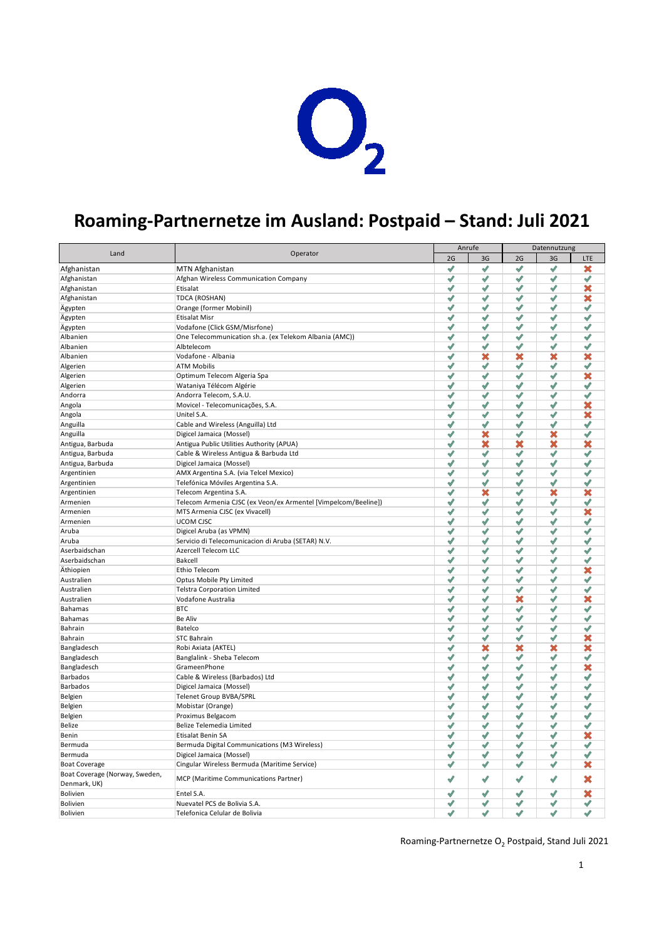

## **Roaming-Partnernetze im Ausland: Postpaid – Stand: Juli 2021**

| 2G<br>2G<br>3G<br>3G<br>LTE<br>✔<br>$\checkmark$<br>√<br>$\checkmark$<br>×<br>MTN Afghanistan<br>Afghanistan<br>$\mathscr{I}$<br>$\checkmark$<br>√<br>√<br>$\mathscr I$<br>Afghanistan<br>Afghan Wireless Communication Company<br>$\checkmark$<br>√<br>√<br>×<br>Afghanistan<br>Etisalat<br>$\checkmark$<br>$\mathscr{I}$<br>$\checkmark$<br>√<br>√<br>×<br>Afghanistan<br>TDCA (ROSHAN)<br>✔<br>✔<br>√<br>√<br>$\checkmark$<br>Ägypten<br>Orange (former Mobinil)<br>$\checkmark$<br>✔<br>√<br>✔<br>√<br>Ägypten<br><b>Etisalat Misr</b><br>✔<br>✔<br>√<br>$\checkmark$<br>Vodafone (Click GSM/Misrfone)<br>ℐ<br>Ägypten<br>✔<br>✔<br>√<br>√<br>√<br>One Telecommunication sh.a. (ex Telekom Albania (AMC))<br>Albanien<br>✔<br>✔<br>√<br>√<br>√<br>Albanien<br>Albtelecom<br>$\checkmark$<br>×<br>×<br>×<br>×<br>Vodafone - Albania<br>Albanien<br>$\checkmark$<br>ℐ<br>ℐ<br>√<br>ℐ<br><b>ATM Mobilis</b><br>Algerien<br>$\checkmark$<br>✔<br>√<br>√<br>×<br>Algerien<br>Optimum Telecom Algeria Spa<br>$\checkmark$<br>✔<br>√<br>√<br>$\checkmark$<br>Wataniya Télécom Algérie<br>Algerien<br>$\checkmark$<br>√<br>√<br>Andorra Telecom, S.A.U.<br>✔<br>√<br>Andorra<br>×<br>$\checkmark$<br>$\checkmark$<br>√<br>Movicel - Telecomunicações, S.A.<br>ℐ<br>Angola<br>$\checkmark$<br>√<br>×<br>$\checkmark$<br>$\checkmark$<br>Unitel S.A.<br>Angola<br>√<br>$\checkmark$<br>$\checkmark$<br>√<br>ℐ<br>Cable and Wireless (Anguilla) Ltd<br>Anguilla<br>×<br>×<br>✔<br>√<br>✔<br>Digicel Jamaica (Mossel)<br>Anguilla<br>×<br>×<br>$\checkmark$<br>×<br>×<br>Antigua, Barbuda<br>Antigua Public Utilities Authority (APUA)<br>√<br>✔<br>✔<br>√<br>✔<br>Antigua, Barbuda<br>Cable & Wireless Antigua & Barbuda Ltd<br>√<br>✔<br>ℐ<br>√<br>ℐ<br>Antigua, Barbuda<br>Digicel Jamaica (Mossel)<br>√<br>$\checkmark$<br>√<br>√<br>ℐ<br>AMX Argentina S.A. (via Telcel Mexico)<br>Argentinien<br>√<br>$\checkmark$<br>√<br>√<br>ℐ<br>Argentinien<br>Telefónica Móviles Argentina S.A.<br>✔<br>×<br>√<br>×<br>×<br>Telecom Argentina S.A.<br>Argentinien<br>✔<br>√<br>$\checkmark$<br>$\checkmark$<br>√<br>Armenien<br>Telecom Armenia CJSC (ex Veon/ex Armentel [Vimpelcom/Beeline])<br>√<br>×<br>$\checkmark$<br>ℐ<br>$\checkmark$<br>Armenien<br>MTS Armenia CJSC (ex Vivacell)<br>✔<br>√<br>$\checkmark$<br>√<br>ℐ<br>Armenien<br><b>UCOM CJSC</b><br>✔<br>√<br>√<br>Digicel Aruba (as VPMN)<br>✔<br>✔<br>Aruba<br>Servicio di Telecomunicacion di Aruba (SETAR) N.V.<br>√<br>√<br>ℐ<br>√<br>√<br>Aruba<br>√<br>Aserbaidschan<br>Azercell Telecom LLC<br>√<br>✔<br>√<br>√<br>√<br>Aserbaidschan<br>Bakcell<br>√<br>√<br>ℐ<br>✔<br>√<br>×<br>Äthiopien<br>Ethio Telecom<br>$\mathscr{I}$<br>✔<br>√<br>Australien<br>Optus Mobile Pty Limited<br>ℐ<br>ℐ<br>ℐ<br>√<br>√<br><b>Telstra Corporation Limited</b><br>$\checkmark$<br>ℐ<br>√<br>ℐ<br>Australien<br>ℐ<br>×<br>Vodafone Australia<br>ℐ<br>√<br>√<br>×<br>Australien<br>✔<br>√<br>√<br><b>BTC</b><br>✔<br>✔<br>Bahamas<br><b>Be Aliv</b><br>√<br>✔<br>√<br>✔<br>Bahamas<br>ℐ<br>$\checkmark$<br>✔<br>√<br>$\checkmark$<br>Bahrain<br>Batelco<br>ℐ<br>$\mathscr N$<br>ℐ<br>ℐ<br>√<br>×<br>Bahrain<br><b>STC Bahrain</b><br>×<br>$\mathscr{I}$<br>×<br>×<br>×<br>Bangladesch<br>Robi Axiata (AKTEL)<br>Banglalink - Sheba Telecom<br>✔<br>✔<br>৶<br>√<br>√<br>Bangladesch<br>GrameenPhone<br>×<br>Bangladesch<br>✔<br>✔<br>√<br>√<br>$\sqrt{2}$<br>$\checkmark$<br>Barbados<br>Cable & Wireless (Barbados) Ltd<br>$\blacklozenge$<br>✔<br>ℐ<br>$\mathscr N$<br>$\checkmark$<br>√<br>Barbados<br>Digicel Jamaica (Mossel)<br>✔<br>✔<br>$\checkmark$<br>√<br>Belgien<br>Telenet Group BVBA/SPRL<br>✔<br>ℐ<br>ℐ<br>Belgien<br>Mobistar (Orange)<br>√<br>✔<br>√<br>√<br>√<br>√<br>Proximus Belgacom<br>$\mathscr{N}$<br>ℐ<br>√<br>$\checkmark$<br>Belgien<br>Belize Telemedia Limited<br>$\checkmark$<br>√<br>ℐ<br>√<br>$\checkmark$<br>Belize<br>×<br>Etisalat Benin SA<br>√<br>ℐ<br>ℐ<br>√<br>Benin<br>Bermuda Digital Communications (M3 Wireless)<br>√<br>✔<br>√<br>√<br>√<br>Bermuda<br>Bermuda<br>Digicel Jamaica (Mossel)<br>$\mathscr{I}$<br>$\checkmark$<br>$\checkmark$<br>√<br>$\mathscr I$<br>$\checkmark$<br>√<br>√<br>√<br>×<br>Cingular Wireless Bermuda (Maritime Service)<br><b>Boat Coverage</b><br>Boat Coverage (Norway, Sweden,<br>MCP (Maritime Communications Partner)<br>✔<br>√<br>×<br>√<br>√<br>Denmark, UK)<br>×<br>$\checkmark$<br>ℐ<br>√<br>√<br>Bolivien<br>Entel S.A.<br>✔<br>✔<br>ℐ<br>√<br>✔<br>Nuevatel PCS de Bolivia S.A.<br><b>Bolivien</b><br>$\checkmark$<br>✔<br>$\checkmark$<br>√<br>ℐ<br>Telefonica Celular de Bolivia<br><b>Bolivien</b> | Land |          | Anrufe |  | Datennutzung |  |  |  |
|-------------------------------------------------------------------------------------------------------------------------------------------------------------------------------------------------------------------------------------------------------------------------------------------------------------------------------------------------------------------------------------------------------------------------------------------------------------------------------------------------------------------------------------------------------------------------------------------------------------------------------------------------------------------------------------------------------------------------------------------------------------------------------------------------------------------------------------------------------------------------------------------------------------------------------------------------------------------------------------------------------------------------------------------------------------------------------------------------------------------------------------------------------------------------------------------------------------------------------------------------------------------------------------------------------------------------------------------------------------------------------------------------------------------------------------------------------------------------------------------------------------------------------------------------------------------------------------------------------------------------------------------------------------------------------------------------------------------------------------------------------------------------------------------------------------------------------------------------------------------------------------------------------------------------------------------------------------------------------------------------------------------------------------------------------------------------------------------------------------------------------------------------------------------------------------------------------------------------------------------------------------------------------------------------------------------------------------------------------------------------------------------------------------------------------------------------------------------------------------------------------------------------------------------------------------------------------------------------------------------------------------------------------------------------------------------------------------------------------------------------------------------------------------------------------------------------------------------------------------------------------------------------------------------------------------------------------------------------------------------------------------------------------------------------------------------------------------------------------------------------------------------------------------------------------------------------------------------------------------------------------------------------------------------------------------------------------------------------------------------------------------------------------------------------------------------------------------------------------------------------------------------------------------------------------------------------------------------------------------------------------------------------------------------------------------------------------------------------------------------------------------------------------------------------------------------------------------------------------------------------------------------------------------------------------------------------------------------------------------------------------------------------------------------------------------------------------------------------------------------------------------------------------------------------------------------------------------------------------------------------------------------------------------------------------------------------------------------------------------------------------------------------------------------------------------------------------------------------------------------------------------------------------------------------------------------------------------------------------------------------------------|------|----------|--------|--|--------------|--|--|--|
|                                                                                                                                                                                                                                                                                                                                                                                                                                                                                                                                                                                                                                                                                                                                                                                                                                                                                                                                                                                                                                                                                                                                                                                                                                                                                                                                                                                                                                                                                                                                                                                                                                                                                                                                                                                                                                                                                                                                                                                                                                                                                                                                                                                                                                                                                                                                                                                                                                                                                                                                                                                                                                                                                                                                                                                                                                                                                                                                                                                                                                                                                                                                                                                                                                                                                                                                                                                                                                                                                                                                                                                                                                                                                                                                                                                                                                                                                                                                                                                                                                                                                                                                                                                                                                                                                                                                                                                                                                                                                                                                                                                                                                     |      | Operator |        |  |              |  |  |  |
|                                                                                                                                                                                                                                                                                                                                                                                                                                                                                                                                                                                                                                                                                                                                                                                                                                                                                                                                                                                                                                                                                                                                                                                                                                                                                                                                                                                                                                                                                                                                                                                                                                                                                                                                                                                                                                                                                                                                                                                                                                                                                                                                                                                                                                                                                                                                                                                                                                                                                                                                                                                                                                                                                                                                                                                                                                                                                                                                                                                                                                                                                                                                                                                                                                                                                                                                                                                                                                                                                                                                                                                                                                                                                                                                                                                                                                                                                                                                                                                                                                                                                                                                                                                                                                                                                                                                                                                                                                                                                                                                                                                                                                     |      |          |        |  |              |  |  |  |
|                                                                                                                                                                                                                                                                                                                                                                                                                                                                                                                                                                                                                                                                                                                                                                                                                                                                                                                                                                                                                                                                                                                                                                                                                                                                                                                                                                                                                                                                                                                                                                                                                                                                                                                                                                                                                                                                                                                                                                                                                                                                                                                                                                                                                                                                                                                                                                                                                                                                                                                                                                                                                                                                                                                                                                                                                                                                                                                                                                                                                                                                                                                                                                                                                                                                                                                                                                                                                                                                                                                                                                                                                                                                                                                                                                                                                                                                                                                                                                                                                                                                                                                                                                                                                                                                                                                                                                                                                                                                                                                                                                                                                                     |      |          |        |  |              |  |  |  |
|                                                                                                                                                                                                                                                                                                                                                                                                                                                                                                                                                                                                                                                                                                                                                                                                                                                                                                                                                                                                                                                                                                                                                                                                                                                                                                                                                                                                                                                                                                                                                                                                                                                                                                                                                                                                                                                                                                                                                                                                                                                                                                                                                                                                                                                                                                                                                                                                                                                                                                                                                                                                                                                                                                                                                                                                                                                                                                                                                                                                                                                                                                                                                                                                                                                                                                                                                                                                                                                                                                                                                                                                                                                                                                                                                                                                                                                                                                                                                                                                                                                                                                                                                                                                                                                                                                                                                                                                                                                                                                                                                                                                                                     |      |          |        |  |              |  |  |  |
|                                                                                                                                                                                                                                                                                                                                                                                                                                                                                                                                                                                                                                                                                                                                                                                                                                                                                                                                                                                                                                                                                                                                                                                                                                                                                                                                                                                                                                                                                                                                                                                                                                                                                                                                                                                                                                                                                                                                                                                                                                                                                                                                                                                                                                                                                                                                                                                                                                                                                                                                                                                                                                                                                                                                                                                                                                                                                                                                                                                                                                                                                                                                                                                                                                                                                                                                                                                                                                                                                                                                                                                                                                                                                                                                                                                                                                                                                                                                                                                                                                                                                                                                                                                                                                                                                                                                                                                                                                                                                                                                                                                                                                     |      |          |        |  |              |  |  |  |
|                                                                                                                                                                                                                                                                                                                                                                                                                                                                                                                                                                                                                                                                                                                                                                                                                                                                                                                                                                                                                                                                                                                                                                                                                                                                                                                                                                                                                                                                                                                                                                                                                                                                                                                                                                                                                                                                                                                                                                                                                                                                                                                                                                                                                                                                                                                                                                                                                                                                                                                                                                                                                                                                                                                                                                                                                                                                                                                                                                                                                                                                                                                                                                                                                                                                                                                                                                                                                                                                                                                                                                                                                                                                                                                                                                                                                                                                                                                                                                                                                                                                                                                                                                                                                                                                                                                                                                                                                                                                                                                                                                                                                                     |      |          |        |  |              |  |  |  |
|                                                                                                                                                                                                                                                                                                                                                                                                                                                                                                                                                                                                                                                                                                                                                                                                                                                                                                                                                                                                                                                                                                                                                                                                                                                                                                                                                                                                                                                                                                                                                                                                                                                                                                                                                                                                                                                                                                                                                                                                                                                                                                                                                                                                                                                                                                                                                                                                                                                                                                                                                                                                                                                                                                                                                                                                                                                                                                                                                                                                                                                                                                                                                                                                                                                                                                                                                                                                                                                                                                                                                                                                                                                                                                                                                                                                                                                                                                                                                                                                                                                                                                                                                                                                                                                                                                                                                                                                                                                                                                                                                                                                                                     |      |          |        |  |              |  |  |  |
|                                                                                                                                                                                                                                                                                                                                                                                                                                                                                                                                                                                                                                                                                                                                                                                                                                                                                                                                                                                                                                                                                                                                                                                                                                                                                                                                                                                                                                                                                                                                                                                                                                                                                                                                                                                                                                                                                                                                                                                                                                                                                                                                                                                                                                                                                                                                                                                                                                                                                                                                                                                                                                                                                                                                                                                                                                                                                                                                                                                                                                                                                                                                                                                                                                                                                                                                                                                                                                                                                                                                                                                                                                                                                                                                                                                                                                                                                                                                                                                                                                                                                                                                                                                                                                                                                                                                                                                                                                                                                                                                                                                                                                     |      |          |        |  |              |  |  |  |
|                                                                                                                                                                                                                                                                                                                                                                                                                                                                                                                                                                                                                                                                                                                                                                                                                                                                                                                                                                                                                                                                                                                                                                                                                                                                                                                                                                                                                                                                                                                                                                                                                                                                                                                                                                                                                                                                                                                                                                                                                                                                                                                                                                                                                                                                                                                                                                                                                                                                                                                                                                                                                                                                                                                                                                                                                                                                                                                                                                                                                                                                                                                                                                                                                                                                                                                                                                                                                                                                                                                                                                                                                                                                                                                                                                                                                                                                                                                                                                                                                                                                                                                                                                                                                                                                                                                                                                                                                                                                                                                                                                                                                                     |      |          |        |  |              |  |  |  |
|                                                                                                                                                                                                                                                                                                                                                                                                                                                                                                                                                                                                                                                                                                                                                                                                                                                                                                                                                                                                                                                                                                                                                                                                                                                                                                                                                                                                                                                                                                                                                                                                                                                                                                                                                                                                                                                                                                                                                                                                                                                                                                                                                                                                                                                                                                                                                                                                                                                                                                                                                                                                                                                                                                                                                                                                                                                                                                                                                                                                                                                                                                                                                                                                                                                                                                                                                                                                                                                                                                                                                                                                                                                                                                                                                                                                                                                                                                                                                                                                                                                                                                                                                                                                                                                                                                                                                                                                                                                                                                                                                                                                                                     |      |          |        |  |              |  |  |  |
|                                                                                                                                                                                                                                                                                                                                                                                                                                                                                                                                                                                                                                                                                                                                                                                                                                                                                                                                                                                                                                                                                                                                                                                                                                                                                                                                                                                                                                                                                                                                                                                                                                                                                                                                                                                                                                                                                                                                                                                                                                                                                                                                                                                                                                                                                                                                                                                                                                                                                                                                                                                                                                                                                                                                                                                                                                                                                                                                                                                                                                                                                                                                                                                                                                                                                                                                                                                                                                                                                                                                                                                                                                                                                                                                                                                                                                                                                                                                                                                                                                                                                                                                                                                                                                                                                                                                                                                                                                                                                                                                                                                                                                     |      |          |        |  |              |  |  |  |
|                                                                                                                                                                                                                                                                                                                                                                                                                                                                                                                                                                                                                                                                                                                                                                                                                                                                                                                                                                                                                                                                                                                                                                                                                                                                                                                                                                                                                                                                                                                                                                                                                                                                                                                                                                                                                                                                                                                                                                                                                                                                                                                                                                                                                                                                                                                                                                                                                                                                                                                                                                                                                                                                                                                                                                                                                                                                                                                                                                                                                                                                                                                                                                                                                                                                                                                                                                                                                                                                                                                                                                                                                                                                                                                                                                                                                                                                                                                                                                                                                                                                                                                                                                                                                                                                                                                                                                                                                                                                                                                                                                                                                                     |      |          |        |  |              |  |  |  |
|                                                                                                                                                                                                                                                                                                                                                                                                                                                                                                                                                                                                                                                                                                                                                                                                                                                                                                                                                                                                                                                                                                                                                                                                                                                                                                                                                                                                                                                                                                                                                                                                                                                                                                                                                                                                                                                                                                                                                                                                                                                                                                                                                                                                                                                                                                                                                                                                                                                                                                                                                                                                                                                                                                                                                                                                                                                                                                                                                                                                                                                                                                                                                                                                                                                                                                                                                                                                                                                                                                                                                                                                                                                                                                                                                                                                                                                                                                                                                                                                                                                                                                                                                                                                                                                                                                                                                                                                                                                                                                                                                                                                                                     |      |          |        |  |              |  |  |  |
|                                                                                                                                                                                                                                                                                                                                                                                                                                                                                                                                                                                                                                                                                                                                                                                                                                                                                                                                                                                                                                                                                                                                                                                                                                                                                                                                                                                                                                                                                                                                                                                                                                                                                                                                                                                                                                                                                                                                                                                                                                                                                                                                                                                                                                                                                                                                                                                                                                                                                                                                                                                                                                                                                                                                                                                                                                                                                                                                                                                                                                                                                                                                                                                                                                                                                                                                                                                                                                                                                                                                                                                                                                                                                                                                                                                                                                                                                                                                                                                                                                                                                                                                                                                                                                                                                                                                                                                                                                                                                                                                                                                                                                     |      |          |        |  |              |  |  |  |
|                                                                                                                                                                                                                                                                                                                                                                                                                                                                                                                                                                                                                                                                                                                                                                                                                                                                                                                                                                                                                                                                                                                                                                                                                                                                                                                                                                                                                                                                                                                                                                                                                                                                                                                                                                                                                                                                                                                                                                                                                                                                                                                                                                                                                                                                                                                                                                                                                                                                                                                                                                                                                                                                                                                                                                                                                                                                                                                                                                                                                                                                                                                                                                                                                                                                                                                                                                                                                                                                                                                                                                                                                                                                                                                                                                                                                                                                                                                                                                                                                                                                                                                                                                                                                                                                                                                                                                                                                                                                                                                                                                                                                                     |      |          |        |  |              |  |  |  |
|                                                                                                                                                                                                                                                                                                                                                                                                                                                                                                                                                                                                                                                                                                                                                                                                                                                                                                                                                                                                                                                                                                                                                                                                                                                                                                                                                                                                                                                                                                                                                                                                                                                                                                                                                                                                                                                                                                                                                                                                                                                                                                                                                                                                                                                                                                                                                                                                                                                                                                                                                                                                                                                                                                                                                                                                                                                                                                                                                                                                                                                                                                                                                                                                                                                                                                                                                                                                                                                                                                                                                                                                                                                                                                                                                                                                                                                                                                                                                                                                                                                                                                                                                                                                                                                                                                                                                                                                                                                                                                                                                                                                                                     |      |          |        |  |              |  |  |  |
|                                                                                                                                                                                                                                                                                                                                                                                                                                                                                                                                                                                                                                                                                                                                                                                                                                                                                                                                                                                                                                                                                                                                                                                                                                                                                                                                                                                                                                                                                                                                                                                                                                                                                                                                                                                                                                                                                                                                                                                                                                                                                                                                                                                                                                                                                                                                                                                                                                                                                                                                                                                                                                                                                                                                                                                                                                                                                                                                                                                                                                                                                                                                                                                                                                                                                                                                                                                                                                                                                                                                                                                                                                                                                                                                                                                                                                                                                                                                                                                                                                                                                                                                                                                                                                                                                                                                                                                                                                                                                                                                                                                                                                     |      |          |        |  |              |  |  |  |
|                                                                                                                                                                                                                                                                                                                                                                                                                                                                                                                                                                                                                                                                                                                                                                                                                                                                                                                                                                                                                                                                                                                                                                                                                                                                                                                                                                                                                                                                                                                                                                                                                                                                                                                                                                                                                                                                                                                                                                                                                                                                                                                                                                                                                                                                                                                                                                                                                                                                                                                                                                                                                                                                                                                                                                                                                                                                                                                                                                                                                                                                                                                                                                                                                                                                                                                                                                                                                                                                                                                                                                                                                                                                                                                                                                                                                                                                                                                                                                                                                                                                                                                                                                                                                                                                                                                                                                                                                                                                                                                                                                                                                                     |      |          |        |  |              |  |  |  |
|                                                                                                                                                                                                                                                                                                                                                                                                                                                                                                                                                                                                                                                                                                                                                                                                                                                                                                                                                                                                                                                                                                                                                                                                                                                                                                                                                                                                                                                                                                                                                                                                                                                                                                                                                                                                                                                                                                                                                                                                                                                                                                                                                                                                                                                                                                                                                                                                                                                                                                                                                                                                                                                                                                                                                                                                                                                                                                                                                                                                                                                                                                                                                                                                                                                                                                                                                                                                                                                                                                                                                                                                                                                                                                                                                                                                                                                                                                                                                                                                                                                                                                                                                                                                                                                                                                                                                                                                                                                                                                                                                                                                                                     |      |          |        |  |              |  |  |  |
|                                                                                                                                                                                                                                                                                                                                                                                                                                                                                                                                                                                                                                                                                                                                                                                                                                                                                                                                                                                                                                                                                                                                                                                                                                                                                                                                                                                                                                                                                                                                                                                                                                                                                                                                                                                                                                                                                                                                                                                                                                                                                                                                                                                                                                                                                                                                                                                                                                                                                                                                                                                                                                                                                                                                                                                                                                                                                                                                                                                                                                                                                                                                                                                                                                                                                                                                                                                                                                                                                                                                                                                                                                                                                                                                                                                                                                                                                                                                                                                                                                                                                                                                                                                                                                                                                                                                                                                                                                                                                                                                                                                                                                     |      |          |        |  |              |  |  |  |
|                                                                                                                                                                                                                                                                                                                                                                                                                                                                                                                                                                                                                                                                                                                                                                                                                                                                                                                                                                                                                                                                                                                                                                                                                                                                                                                                                                                                                                                                                                                                                                                                                                                                                                                                                                                                                                                                                                                                                                                                                                                                                                                                                                                                                                                                                                                                                                                                                                                                                                                                                                                                                                                                                                                                                                                                                                                                                                                                                                                                                                                                                                                                                                                                                                                                                                                                                                                                                                                                                                                                                                                                                                                                                                                                                                                                                                                                                                                                                                                                                                                                                                                                                                                                                                                                                                                                                                                                                                                                                                                                                                                                                                     |      |          |        |  |              |  |  |  |
|                                                                                                                                                                                                                                                                                                                                                                                                                                                                                                                                                                                                                                                                                                                                                                                                                                                                                                                                                                                                                                                                                                                                                                                                                                                                                                                                                                                                                                                                                                                                                                                                                                                                                                                                                                                                                                                                                                                                                                                                                                                                                                                                                                                                                                                                                                                                                                                                                                                                                                                                                                                                                                                                                                                                                                                                                                                                                                                                                                                                                                                                                                                                                                                                                                                                                                                                                                                                                                                                                                                                                                                                                                                                                                                                                                                                                                                                                                                                                                                                                                                                                                                                                                                                                                                                                                                                                                                                                                                                                                                                                                                                                                     |      |          |        |  |              |  |  |  |
|                                                                                                                                                                                                                                                                                                                                                                                                                                                                                                                                                                                                                                                                                                                                                                                                                                                                                                                                                                                                                                                                                                                                                                                                                                                                                                                                                                                                                                                                                                                                                                                                                                                                                                                                                                                                                                                                                                                                                                                                                                                                                                                                                                                                                                                                                                                                                                                                                                                                                                                                                                                                                                                                                                                                                                                                                                                                                                                                                                                                                                                                                                                                                                                                                                                                                                                                                                                                                                                                                                                                                                                                                                                                                                                                                                                                                                                                                                                                                                                                                                                                                                                                                                                                                                                                                                                                                                                                                                                                                                                                                                                                                                     |      |          |        |  |              |  |  |  |
|                                                                                                                                                                                                                                                                                                                                                                                                                                                                                                                                                                                                                                                                                                                                                                                                                                                                                                                                                                                                                                                                                                                                                                                                                                                                                                                                                                                                                                                                                                                                                                                                                                                                                                                                                                                                                                                                                                                                                                                                                                                                                                                                                                                                                                                                                                                                                                                                                                                                                                                                                                                                                                                                                                                                                                                                                                                                                                                                                                                                                                                                                                                                                                                                                                                                                                                                                                                                                                                                                                                                                                                                                                                                                                                                                                                                                                                                                                                                                                                                                                                                                                                                                                                                                                                                                                                                                                                                                                                                                                                                                                                                                                     |      |          |        |  |              |  |  |  |
|                                                                                                                                                                                                                                                                                                                                                                                                                                                                                                                                                                                                                                                                                                                                                                                                                                                                                                                                                                                                                                                                                                                                                                                                                                                                                                                                                                                                                                                                                                                                                                                                                                                                                                                                                                                                                                                                                                                                                                                                                                                                                                                                                                                                                                                                                                                                                                                                                                                                                                                                                                                                                                                                                                                                                                                                                                                                                                                                                                                                                                                                                                                                                                                                                                                                                                                                                                                                                                                                                                                                                                                                                                                                                                                                                                                                                                                                                                                                                                                                                                                                                                                                                                                                                                                                                                                                                                                                                                                                                                                                                                                                                                     |      |          |        |  |              |  |  |  |
|                                                                                                                                                                                                                                                                                                                                                                                                                                                                                                                                                                                                                                                                                                                                                                                                                                                                                                                                                                                                                                                                                                                                                                                                                                                                                                                                                                                                                                                                                                                                                                                                                                                                                                                                                                                                                                                                                                                                                                                                                                                                                                                                                                                                                                                                                                                                                                                                                                                                                                                                                                                                                                                                                                                                                                                                                                                                                                                                                                                                                                                                                                                                                                                                                                                                                                                                                                                                                                                                                                                                                                                                                                                                                                                                                                                                                                                                                                                                                                                                                                                                                                                                                                                                                                                                                                                                                                                                                                                                                                                                                                                                                                     |      |          |        |  |              |  |  |  |
|                                                                                                                                                                                                                                                                                                                                                                                                                                                                                                                                                                                                                                                                                                                                                                                                                                                                                                                                                                                                                                                                                                                                                                                                                                                                                                                                                                                                                                                                                                                                                                                                                                                                                                                                                                                                                                                                                                                                                                                                                                                                                                                                                                                                                                                                                                                                                                                                                                                                                                                                                                                                                                                                                                                                                                                                                                                                                                                                                                                                                                                                                                                                                                                                                                                                                                                                                                                                                                                                                                                                                                                                                                                                                                                                                                                                                                                                                                                                                                                                                                                                                                                                                                                                                                                                                                                                                                                                                                                                                                                                                                                                                                     |      |          |        |  |              |  |  |  |
|                                                                                                                                                                                                                                                                                                                                                                                                                                                                                                                                                                                                                                                                                                                                                                                                                                                                                                                                                                                                                                                                                                                                                                                                                                                                                                                                                                                                                                                                                                                                                                                                                                                                                                                                                                                                                                                                                                                                                                                                                                                                                                                                                                                                                                                                                                                                                                                                                                                                                                                                                                                                                                                                                                                                                                                                                                                                                                                                                                                                                                                                                                                                                                                                                                                                                                                                                                                                                                                                                                                                                                                                                                                                                                                                                                                                                                                                                                                                                                                                                                                                                                                                                                                                                                                                                                                                                                                                                                                                                                                                                                                                                                     |      |          |        |  |              |  |  |  |
|                                                                                                                                                                                                                                                                                                                                                                                                                                                                                                                                                                                                                                                                                                                                                                                                                                                                                                                                                                                                                                                                                                                                                                                                                                                                                                                                                                                                                                                                                                                                                                                                                                                                                                                                                                                                                                                                                                                                                                                                                                                                                                                                                                                                                                                                                                                                                                                                                                                                                                                                                                                                                                                                                                                                                                                                                                                                                                                                                                                                                                                                                                                                                                                                                                                                                                                                                                                                                                                                                                                                                                                                                                                                                                                                                                                                                                                                                                                                                                                                                                                                                                                                                                                                                                                                                                                                                                                                                                                                                                                                                                                                                                     |      |          |        |  |              |  |  |  |
|                                                                                                                                                                                                                                                                                                                                                                                                                                                                                                                                                                                                                                                                                                                                                                                                                                                                                                                                                                                                                                                                                                                                                                                                                                                                                                                                                                                                                                                                                                                                                                                                                                                                                                                                                                                                                                                                                                                                                                                                                                                                                                                                                                                                                                                                                                                                                                                                                                                                                                                                                                                                                                                                                                                                                                                                                                                                                                                                                                                                                                                                                                                                                                                                                                                                                                                                                                                                                                                                                                                                                                                                                                                                                                                                                                                                                                                                                                                                                                                                                                                                                                                                                                                                                                                                                                                                                                                                                                                                                                                                                                                                                                     |      |          |        |  |              |  |  |  |
|                                                                                                                                                                                                                                                                                                                                                                                                                                                                                                                                                                                                                                                                                                                                                                                                                                                                                                                                                                                                                                                                                                                                                                                                                                                                                                                                                                                                                                                                                                                                                                                                                                                                                                                                                                                                                                                                                                                                                                                                                                                                                                                                                                                                                                                                                                                                                                                                                                                                                                                                                                                                                                                                                                                                                                                                                                                                                                                                                                                                                                                                                                                                                                                                                                                                                                                                                                                                                                                                                                                                                                                                                                                                                                                                                                                                                                                                                                                                                                                                                                                                                                                                                                                                                                                                                                                                                                                                                                                                                                                                                                                                                                     |      |          |        |  |              |  |  |  |
|                                                                                                                                                                                                                                                                                                                                                                                                                                                                                                                                                                                                                                                                                                                                                                                                                                                                                                                                                                                                                                                                                                                                                                                                                                                                                                                                                                                                                                                                                                                                                                                                                                                                                                                                                                                                                                                                                                                                                                                                                                                                                                                                                                                                                                                                                                                                                                                                                                                                                                                                                                                                                                                                                                                                                                                                                                                                                                                                                                                                                                                                                                                                                                                                                                                                                                                                                                                                                                                                                                                                                                                                                                                                                                                                                                                                                                                                                                                                                                                                                                                                                                                                                                                                                                                                                                                                                                                                                                                                                                                                                                                                                                     |      |          |        |  |              |  |  |  |
|                                                                                                                                                                                                                                                                                                                                                                                                                                                                                                                                                                                                                                                                                                                                                                                                                                                                                                                                                                                                                                                                                                                                                                                                                                                                                                                                                                                                                                                                                                                                                                                                                                                                                                                                                                                                                                                                                                                                                                                                                                                                                                                                                                                                                                                                                                                                                                                                                                                                                                                                                                                                                                                                                                                                                                                                                                                                                                                                                                                                                                                                                                                                                                                                                                                                                                                                                                                                                                                                                                                                                                                                                                                                                                                                                                                                                                                                                                                                                                                                                                                                                                                                                                                                                                                                                                                                                                                                                                                                                                                                                                                                                                     |      |          |        |  |              |  |  |  |
|                                                                                                                                                                                                                                                                                                                                                                                                                                                                                                                                                                                                                                                                                                                                                                                                                                                                                                                                                                                                                                                                                                                                                                                                                                                                                                                                                                                                                                                                                                                                                                                                                                                                                                                                                                                                                                                                                                                                                                                                                                                                                                                                                                                                                                                                                                                                                                                                                                                                                                                                                                                                                                                                                                                                                                                                                                                                                                                                                                                                                                                                                                                                                                                                                                                                                                                                                                                                                                                                                                                                                                                                                                                                                                                                                                                                                                                                                                                                                                                                                                                                                                                                                                                                                                                                                                                                                                                                                                                                                                                                                                                                                                     |      |          |        |  |              |  |  |  |
|                                                                                                                                                                                                                                                                                                                                                                                                                                                                                                                                                                                                                                                                                                                                                                                                                                                                                                                                                                                                                                                                                                                                                                                                                                                                                                                                                                                                                                                                                                                                                                                                                                                                                                                                                                                                                                                                                                                                                                                                                                                                                                                                                                                                                                                                                                                                                                                                                                                                                                                                                                                                                                                                                                                                                                                                                                                                                                                                                                                                                                                                                                                                                                                                                                                                                                                                                                                                                                                                                                                                                                                                                                                                                                                                                                                                                                                                                                                                                                                                                                                                                                                                                                                                                                                                                                                                                                                                                                                                                                                                                                                                                                     |      |          |        |  |              |  |  |  |
|                                                                                                                                                                                                                                                                                                                                                                                                                                                                                                                                                                                                                                                                                                                                                                                                                                                                                                                                                                                                                                                                                                                                                                                                                                                                                                                                                                                                                                                                                                                                                                                                                                                                                                                                                                                                                                                                                                                                                                                                                                                                                                                                                                                                                                                                                                                                                                                                                                                                                                                                                                                                                                                                                                                                                                                                                                                                                                                                                                                                                                                                                                                                                                                                                                                                                                                                                                                                                                                                                                                                                                                                                                                                                                                                                                                                                                                                                                                                                                                                                                                                                                                                                                                                                                                                                                                                                                                                                                                                                                                                                                                                                                     |      |          |        |  |              |  |  |  |
|                                                                                                                                                                                                                                                                                                                                                                                                                                                                                                                                                                                                                                                                                                                                                                                                                                                                                                                                                                                                                                                                                                                                                                                                                                                                                                                                                                                                                                                                                                                                                                                                                                                                                                                                                                                                                                                                                                                                                                                                                                                                                                                                                                                                                                                                                                                                                                                                                                                                                                                                                                                                                                                                                                                                                                                                                                                                                                                                                                                                                                                                                                                                                                                                                                                                                                                                                                                                                                                                                                                                                                                                                                                                                                                                                                                                                                                                                                                                                                                                                                                                                                                                                                                                                                                                                                                                                                                                                                                                                                                                                                                                                                     |      |          |        |  |              |  |  |  |
|                                                                                                                                                                                                                                                                                                                                                                                                                                                                                                                                                                                                                                                                                                                                                                                                                                                                                                                                                                                                                                                                                                                                                                                                                                                                                                                                                                                                                                                                                                                                                                                                                                                                                                                                                                                                                                                                                                                                                                                                                                                                                                                                                                                                                                                                                                                                                                                                                                                                                                                                                                                                                                                                                                                                                                                                                                                                                                                                                                                                                                                                                                                                                                                                                                                                                                                                                                                                                                                                                                                                                                                                                                                                                                                                                                                                                                                                                                                                                                                                                                                                                                                                                                                                                                                                                                                                                                                                                                                                                                                                                                                                                                     |      |          |        |  |              |  |  |  |
|                                                                                                                                                                                                                                                                                                                                                                                                                                                                                                                                                                                                                                                                                                                                                                                                                                                                                                                                                                                                                                                                                                                                                                                                                                                                                                                                                                                                                                                                                                                                                                                                                                                                                                                                                                                                                                                                                                                                                                                                                                                                                                                                                                                                                                                                                                                                                                                                                                                                                                                                                                                                                                                                                                                                                                                                                                                                                                                                                                                                                                                                                                                                                                                                                                                                                                                                                                                                                                                                                                                                                                                                                                                                                                                                                                                                                                                                                                                                                                                                                                                                                                                                                                                                                                                                                                                                                                                                                                                                                                                                                                                                                                     |      |          |        |  |              |  |  |  |
|                                                                                                                                                                                                                                                                                                                                                                                                                                                                                                                                                                                                                                                                                                                                                                                                                                                                                                                                                                                                                                                                                                                                                                                                                                                                                                                                                                                                                                                                                                                                                                                                                                                                                                                                                                                                                                                                                                                                                                                                                                                                                                                                                                                                                                                                                                                                                                                                                                                                                                                                                                                                                                                                                                                                                                                                                                                                                                                                                                                                                                                                                                                                                                                                                                                                                                                                                                                                                                                                                                                                                                                                                                                                                                                                                                                                                                                                                                                                                                                                                                                                                                                                                                                                                                                                                                                                                                                                                                                                                                                                                                                                                                     |      |          |        |  |              |  |  |  |
|                                                                                                                                                                                                                                                                                                                                                                                                                                                                                                                                                                                                                                                                                                                                                                                                                                                                                                                                                                                                                                                                                                                                                                                                                                                                                                                                                                                                                                                                                                                                                                                                                                                                                                                                                                                                                                                                                                                                                                                                                                                                                                                                                                                                                                                                                                                                                                                                                                                                                                                                                                                                                                                                                                                                                                                                                                                                                                                                                                                                                                                                                                                                                                                                                                                                                                                                                                                                                                                                                                                                                                                                                                                                                                                                                                                                                                                                                                                                                                                                                                                                                                                                                                                                                                                                                                                                                                                                                                                                                                                                                                                                                                     |      |          |        |  |              |  |  |  |
|                                                                                                                                                                                                                                                                                                                                                                                                                                                                                                                                                                                                                                                                                                                                                                                                                                                                                                                                                                                                                                                                                                                                                                                                                                                                                                                                                                                                                                                                                                                                                                                                                                                                                                                                                                                                                                                                                                                                                                                                                                                                                                                                                                                                                                                                                                                                                                                                                                                                                                                                                                                                                                                                                                                                                                                                                                                                                                                                                                                                                                                                                                                                                                                                                                                                                                                                                                                                                                                                                                                                                                                                                                                                                                                                                                                                                                                                                                                                                                                                                                                                                                                                                                                                                                                                                                                                                                                                                                                                                                                                                                                                                                     |      |          |        |  |              |  |  |  |
|                                                                                                                                                                                                                                                                                                                                                                                                                                                                                                                                                                                                                                                                                                                                                                                                                                                                                                                                                                                                                                                                                                                                                                                                                                                                                                                                                                                                                                                                                                                                                                                                                                                                                                                                                                                                                                                                                                                                                                                                                                                                                                                                                                                                                                                                                                                                                                                                                                                                                                                                                                                                                                                                                                                                                                                                                                                                                                                                                                                                                                                                                                                                                                                                                                                                                                                                                                                                                                                                                                                                                                                                                                                                                                                                                                                                                                                                                                                                                                                                                                                                                                                                                                                                                                                                                                                                                                                                                                                                                                                                                                                                                                     |      |          |        |  |              |  |  |  |
|                                                                                                                                                                                                                                                                                                                                                                                                                                                                                                                                                                                                                                                                                                                                                                                                                                                                                                                                                                                                                                                                                                                                                                                                                                                                                                                                                                                                                                                                                                                                                                                                                                                                                                                                                                                                                                                                                                                                                                                                                                                                                                                                                                                                                                                                                                                                                                                                                                                                                                                                                                                                                                                                                                                                                                                                                                                                                                                                                                                                                                                                                                                                                                                                                                                                                                                                                                                                                                                                                                                                                                                                                                                                                                                                                                                                                                                                                                                                                                                                                                                                                                                                                                                                                                                                                                                                                                                                                                                                                                                                                                                                                                     |      |          |        |  |              |  |  |  |
|                                                                                                                                                                                                                                                                                                                                                                                                                                                                                                                                                                                                                                                                                                                                                                                                                                                                                                                                                                                                                                                                                                                                                                                                                                                                                                                                                                                                                                                                                                                                                                                                                                                                                                                                                                                                                                                                                                                                                                                                                                                                                                                                                                                                                                                                                                                                                                                                                                                                                                                                                                                                                                                                                                                                                                                                                                                                                                                                                                                                                                                                                                                                                                                                                                                                                                                                                                                                                                                                                                                                                                                                                                                                                                                                                                                                                                                                                                                                                                                                                                                                                                                                                                                                                                                                                                                                                                                                                                                                                                                                                                                                                                     |      |          |        |  |              |  |  |  |
|                                                                                                                                                                                                                                                                                                                                                                                                                                                                                                                                                                                                                                                                                                                                                                                                                                                                                                                                                                                                                                                                                                                                                                                                                                                                                                                                                                                                                                                                                                                                                                                                                                                                                                                                                                                                                                                                                                                                                                                                                                                                                                                                                                                                                                                                                                                                                                                                                                                                                                                                                                                                                                                                                                                                                                                                                                                                                                                                                                                                                                                                                                                                                                                                                                                                                                                                                                                                                                                                                                                                                                                                                                                                                                                                                                                                                                                                                                                                                                                                                                                                                                                                                                                                                                                                                                                                                                                                                                                                                                                                                                                                                                     |      |          |        |  |              |  |  |  |
|                                                                                                                                                                                                                                                                                                                                                                                                                                                                                                                                                                                                                                                                                                                                                                                                                                                                                                                                                                                                                                                                                                                                                                                                                                                                                                                                                                                                                                                                                                                                                                                                                                                                                                                                                                                                                                                                                                                                                                                                                                                                                                                                                                                                                                                                                                                                                                                                                                                                                                                                                                                                                                                                                                                                                                                                                                                                                                                                                                                                                                                                                                                                                                                                                                                                                                                                                                                                                                                                                                                                                                                                                                                                                                                                                                                                                                                                                                                                                                                                                                                                                                                                                                                                                                                                                                                                                                                                                                                                                                                                                                                                                                     |      |          |        |  |              |  |  |  |
|                                                                                                                                                                                                                                                                                                                                                                                                                                                                                                                                                                                                                                                                                                                                                                                                                                                                                                                                                                                                                                                                                                                                                                                                                                                                                                                                                                                                                                                                                                                                                                                                                                                                                                                                                                                                                                                                                                                                                                                                                                                                                                                                                                                                                                                                                                                                                                                                                                                                                                                                                                                                                                                                                                                                                                                                                                                                                                                                                                                                                                                                                                                                                                                                                                                                                                                                                                                                                                                                                                                                                                                                                                                                                                                                                                                                                                                                                                                                                                                                                                                                                                                                                                                                                                                                                                                                                                                                                                                                                                                                                                                                                                     |      |          |        |  |              |  |  |  |
|                                                                                                                                                                                                                                                                                                                                                                                                                                                                                                                                                                                                                                                                                                                                                                                                                                                                                                                                                                                                                                                                                                                                                                                                                                                                                                                                                                                                                                                                                                                                                                                                                                                                                                                                                                                                                                                                                                                                                                                                                                                                                                                                                                                                                                                                                                                                                                                                                                                                                                                                                                                                                                                                                                                                                                                                                                                                                                                                                                                                                                                                                                                                                                                                                                                                                                                                                                                                                                                                                                                                                                                                                                                                                                                                                                                                                                                                                                                                                                                                                                                                                                                                                                                                                                                                                                                                                                                                                                                                                                                                                                                                                                     |      |          |        |  |              |  |  |  |
|                                                                                                                                                                                                                                                                                                                                                                                                                                                                                                                                                                                                                                                                                                                                                                                                                                                                                                                                                                                                                                                                                                                                                                                                                                                                                                                                                                                                                                                                                                                                                                                                                                                                                                                                                                                                                                                                                                                                                                                                                                                                                                                                                                                                                                                                                                                                                                                                                                                                                                                                                                                                                                                                                                                                                                                                                                                                                                                                                                                                                                                                                                                                                                                                                                                                                                                                                                                                                                                                                                                                                                                                                                                                                                                                                                                                                                                                                                                                                                                                                                                                                                                                                                                                                                                                                                                                                                                                                                                                                                                                                                                                                                     |      |          |        |  |              |  |  |  |
|                                                                                                                                                                                                                                                                                                                                                                                                                                                                                                                                                                                                                                                                                                                                                                                                                                                                                                                                                                                                                                                                                                                                                                                                                                                                                                                                                                                                                                                                                                                                                                                                                                                                                                                                                                                                                                                                                                                                                                                                                                                                                                                                                                                                                                                                                                                                                                                                                                                                                                                                                                                                                                                                                                                                                                                                                                                                                                                                                                                                                                                                                                                                                                                                                                                                                                                                                                                                                                                                                                                                                                                                                                                                                                                                                                                                                                                                                                                                                                                                                                                                                                                                                                                                                                                                                                                                                                                                                                                                                                                                                                                                                                     |      |          |        |  |              |  |  |  |
|                                                                                                                                                                                                                                                                                                                                                                                                                                                                                                                                                                                                                                                                                                                                                                                                                                                                                                                                                                                                                                                                                                                                                                                                                                                                                                                                                                                                                                                                                                                                                                                                                                                                                                                                                                                                                                                                                                                                                                                                                                                                                                                                                                                                                                                                                                                                                                                                                                                                                                                                                                                                                                                                                                                                                                                                                                                                                                                                                                                                                                                                                                                                                                                                                                                                                                                                                                                                                                                                                                                                                                                                                                                                                                                                                                                                                                                                                                                                                                                                                                                                                                                                                                                                                                                                                                                                                                                                                                                                                                                                                                                                                                     |      |          |        |  |              |  |  |  |
|                                                                                                                                                                                                                                                                                                                                                                                                                                                                                                                                                                                                                                                                                                                                                                                                                                                                                                                                                                                                                                                                                                                                                                                                                                                                                                                                                                                                                                                                                                                                                                                                                                                                                                                                                                                                                                                                                                                                                                                                                                                                                                                                                                                                                                                                                                                                                                                                                                                                                                                                                                                                                                                                                                                                                                                                                                                                                                                                                                                                                                                                                                                                                                                                                                                                                                                                                                                                                                                                                                                                                                                                                                                                                                                                                                                                                                                                                                                                                                                                                                                                                                                                                                                                                                                                                                                                                                                                                                                                                                                                                                                                                                     |      |          |        |  |              |  |  |  |
|                                                                                                                                                                                                                                                                                                                                                                                                                                                                                                                                                                                                                                                                                                                                                                                                                                                                                                                                                                                                                                                                                                                                                                                                                                                                                                                                                                                                                                                                                                                                                                                                                                                                                                                                                                                                                                                                                                                                                                                                                                                                                                                                                                                                                                                                                                                                                                                                                                                                                                                                                                                                                                                                                                                                                                                                                                                                                                                                                                                                                                                                                                                                                                                                                                                                                                                                                                                                                                                                                                                                                                                                                                                                                                                                                                                                                                                                                                                                                                                                                                                                                                                                                                                                                                                                                                                                                                                                                                                                                                                                                                                                                                     |      |          |        |  |              |  |  |  |
|                                                                                                                                                                                                                                                                                                                                                                                                                                                                                                                                                                                                                                                                                                                                                                                                                                                                                                                                                                                                                                                                                                                                                                                                                                                                                                                                                                                                                                                                                                                                                                                                                                                                                                                                                                                                                                                                                                                                                                                                                                                                                                                                                                                                                                                                                                                                                                                                                                                                                                                                                                                                                                                                                                                                                                                                                                                                                                                                                                                                                                                                                                                                                                                                                                                                                                                                                                                                                                                                                                                                                                                                                                                                                                                                                                                                                                                                                                                                                                                                                                                                                                                                                                                                                                                                                                                                                                                                                                                                                                                                                                                                                                     |      |          |        |  |              |  |  |  |
|                                                                                                                                                                                                                                                                                                                                                                                                                                                                                                                                                                                                                                                                                                                                                                                                                                                                                                                                                                                                                                                                                                                                                                                                                                                                                                                                                                                                                                                                                                                                                                                                                                                                                                                                                                                                                                                                                                                                                                                                                                                                                                                                                                                                                                                                                                                                                                                                                                                                                                                                                                                                                                                                                                                                                                                                                                                                                                                                                                                                                                                                                                                                                                                                                                                                                                                                                                                                                                                                                                                                                                                                                                                                                                                                                                                                                                                                                                                                                                                                                                                                                                                                                                                                                                                                                                                                                                                                                                                                                                                                                                                                                                     |      |          |        |  |              |  |  |  |
|                                                                                                                                                                                                                                                                                                                                                                                                                                                                                                                                                                                                                                                                                                                                                                                                                                                                                                                                                                                                                                                                                                                                                                                                                                                                                                                                                                                                                                                                                                                                                                                                                                                                                                                                                                                                                                                                                                                                                                                                                                                                                                                                                                                                                                                                                                                                                                                                                                                                                                                                                                                                                                                                                                                                                                                                                                                                                                                                                                                                                                                                                                                                                                                                                                                                                                                                                                                                                                                                                                                                                                                                                                                                                                                                                                                                                                                                                                                                                                                                                                                                                                                                                                                                                                                                                                                                                                                                                                                                                                                                                                                                                                     |      |          |        |  |              |  |  |  |
|                                                                                                                                                                                                                                                                                                                                                                                                                                                                                                                                                                                                                                                                                                                                                                                                                                                                                                                                                                                                                                                                                                                                                                                                                                                                                                                                                                                                                                                                                                                                                                                                                                                                                                                                                                                                                                                                                                                                                                                                                                                                                                                                                                                                                                                                                                                                                                                                                                                                                                                                                                                                                                                                                                                                                                                                                                                                                                                                                                                                                                                                                                                                                                                                                                                                                                                                                                                                                                                                                                                                                                                                                                                                                                                                                                                                                                                                                                                                                                                                                                                                                                                                                                                                                                                                                                                                                                                                                                                                                                                                                                                                                                     |      |          |        |  |              |  |  |  |

Roaming-Partnernetze  $O<sub>2</sub>$  Postpaid, Stand Juli 2021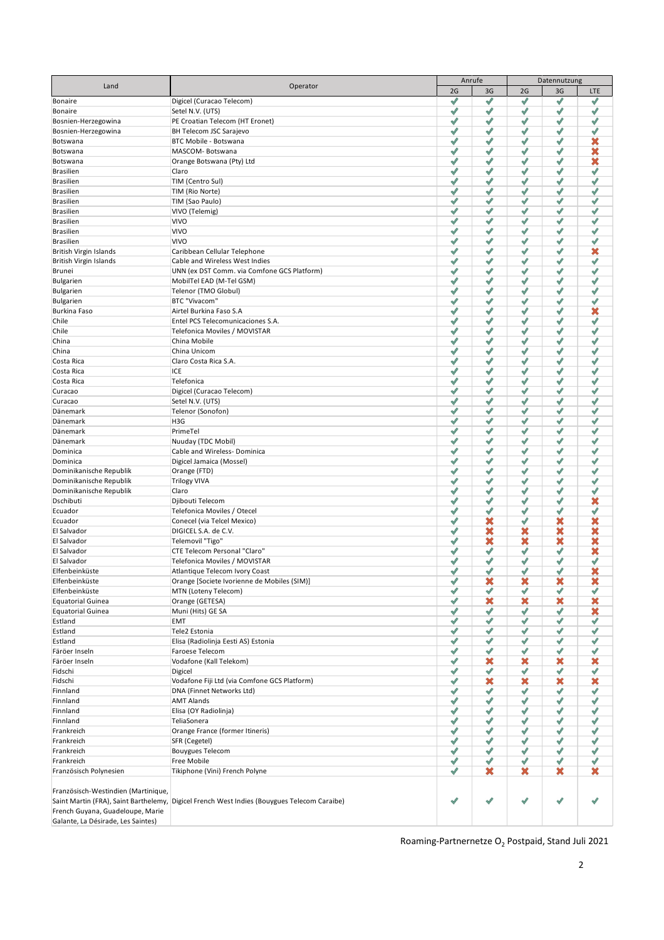| Land                                | Operator                                                                                    |        | Anrufe                       | Datennutzung                  |        |                              |  |
|-------------------------------------|---------------------------------------------------------------------------------------------|--------|------------------------------|-------------------------------|--------|------------------------------|--|
|                                     |                                                                                             | 2G     | 3G                           | 2G                            | 3G     | LTE                          |  |
| Bonaire                             | Digicel (Curacao Telecom)                                                                   | √      | √                            | ℐ                             | √      | √                            |  |
| Bonaire                             | Setel N.V. (UTS)                                                                            | √      | √                            | √                             | √      | √                            |  |
| Bosnien-Herzegowina                 | PE Croatian Telecom (HT Eronet)                                                             | ℐ<br>√ | √<br>√                       | √                             | ℐ      | ✔<br>√                       |  |
| Bosnien-Herzegowina<br>Botswana     | BH Telecom JSC Sarajevo<br>BTC Mobile - Botswana                                            | √      | √                            | √<br>√                        | √<br>√ | ×                            |  |
| Botswana                            | MASCOM-Botswana                                                                             | √      | √                            | ✔                             | ✔      | ×                            |  |
| Botswana                            | Orange Botswana (Pty) Ltd                                                                   | ℐ      | √                            | ℐ                             | ✔      | ×                            |  |
| <b>Brasilien</b>                    | Claro                                                                                       | ℐ      | √                            | ✔                             | ✔      | ✔                            |  |
| <b>Brasilien</b>                    | TIM (Centro Sul)                                                                            | ℐ      | √                            | ℐ                             | √      | $\mathscr N$                 |  |
| <b>Brasilien</b>                    | TIM (Rio Norte)                                                                             | √      | $\mathscr{I}$                | √                             | √      | √                            |  |
| <b>Brasilien</b>                    | TIM (Sao Paulo)                                                                             | ℐ      | √                            | ℐ                             | √      | √                            |  |
| <b>Brasilien</b>                    | VIVO (Telemig)                                                                              | √      | $\checkmark$                 | √                             | √      | √                            |  |
| <b>Brasilien</b>                    | <b>VIVO</b>                                                                                 | √      | $\overline{\mathscr{A}}$     | ℐ                             | √      | √                            |  |
| <b>Brasilien</b>                    | <b>VIVO</b>                                                                                 | √      | ✔                            | $\mathcal{P}$                 | ✔      | ℐ                            |  |
| <b>Brasilien</b>                    | <b>VIVO</b>                                                                                 | √      | ✔                            | √                             | √      | ✔                            |  |
| British Virgin Islands              | Caribbean Cellular Telephone                                                                | √      | $\checkmark$                 | $\checkmark$                  | √      | ×                            |  |
| British Virgin Islands              | Cable and Wireless West Indies                                                              | √      | $\mathscr{S}$                | ℐ                             | √      | √                            |  |
| <b>Brunei</b>                       | UNN (ex DST Comm. via Comfone GCS Platform)                                                 | √      | $\checkmark$                 | $\mathscr{S}$                 | √      | √                            |  |
| Bulgarien                           | MobilTel EAD (M-Tel GSM)                                                                    | √      | $\checkmark$                 | √                             | √      | $\checkmark$                 |  |
| Bulgarien                           | Telenor (TMO Globul)<br>BTC "Vivacom"                                                       | √<br>√ | $\checkmark$<br>$\checkmark$ | √<br>$\overline{\mathscr{A}}$ | √<br>√ | $\checkmark$<br>$\checkmark$ |  |
| Bulgarien<br>Burkina Faso           | Airtel Burkina Faso S.A                                                                     | √      | ✔                            | √                             | √      | ×                            |  |
| Chile                               | Entel PCS Telecomunicaciones S.A.                                                           | √      | √                            | √                             | √      | ℐ                            |  |
| Chile                               | Telefonica Moviles / MOVISTAR                                                               | √      | $\mathscr{I}$                | √                             | √      | ℐ                            |  |
| China                               | China Mobile                                                                                | √      | $\mathscr{I}$                | √                             | √      | ℐ                            |  |
| China                               | China Unicom                                                                                | √      | $\mathscr{I}$                | ℐ                             | √      | √                            |  |
| Costa Rica                          | Claro Costa Rica S.A.                                                                       | √      | $\mathscr{I}$                | √                             | √      | ℐ                            |  |
| Costa Rica                          | ICE                                                                                         | √      | $\mathscr{I}$                | √                             | √      | ℐ                            |  |
| Costa Rica                          | Telefonica                                                                                  | √      | ℐ                            | $\checkmark$                  | √      | ℐ                            |  |
| Curacao                             | Digicel (Curacao Telecom)                                                                   | √      | $\mathscr{I}$                | ℐ                             | √      | ℐ                            |  |
| Curacao                             | Setel N.V. (UTS)                                                                            | √      | ℐ                            | √                             | √      | ℐ                            |  |
| Dänemark                            | Telenor (Sonofon)                                                                           | √      | ✔                            | ✔                             | ✔      | ✔                            |  |
| Dänemark                            | H3G                                                                                         | √      | ✔                            | ℐ                             | ✔      | ✔                            |  |
| Dänemark                            | PrimeTel                                                                                    | √      | √                            | ✔                             | ✔      | ✔                            |  |
| Dänemark                            | Nuuday (TDC Mobil)                                                                          | √      | √                            | ℐ                             | √      | √                            |  |
| Dominica                            | Cable and Wireless-Dominica                                                                 | √      | √                            | √                             | √      | √                            |  |
| Dominica                            | Digicel Jamaica (Mossel)                                                                    | √      | √                            | ℐ                             | √      | ℐ                            |  |
| Dominikanische Republik             | Orange (FTD)                                                                                | √      | √                            | √                             | √      | √                            |  |
| Dominikanische Republik             | <b>Trilogy VIVA</b>                                                                         | √      | ℐ                            | ℐ                             | √      | ℐ                            |  |
| Dominikanische Republik             | Claro                                                                                       | √      | ✔<br>$\mathscr{S}$           | ✔                             | ✔      | ✔                            |  |
| Dschibuti                           | Djibouti Telecom                                                                            | √<br>ℐ | ✔                            | $\overline{\mathscr{S}}$<br>✔ | ✔<br>✔ | ×<br>✔                       |  |
| Ecuador<br>Ecuador                  | Telefonica Moviles / Otecel<br>Conecel (via Telcel Mexico)                                  | ✔      | ×                            | √                             | ×      | ×                            |  |
| El Salvador                         | DIGICEL S.A. de C.V.                                                                        | √      | ×                            | ×                             | ×      | ×                            |  |
| El Salvador                         | Telemovil "Tigo"                                                                            | √      | ×                            | ×                             | ×      | ×                            |  |
| El Salvador                         | CTE Telecom Personal "Claro"                                                                | √      | $\mathscr{S}$                | √                             | ℐ      | ×                            |  |
| El Salvador                         | Telefonica Moviles / MOVISTAR                                                               | √      | √                            | $\mathscr{A}$                 | ℐ      | ℐ                            |  |
| Elfenbeinküste                      | Atlantique Telecom Ivory Coast                                                              | ℐ      | ℐ                            | $\hat{\mathcal{A}}$           | ℐ      | ×                            |  |
| Elfenbeinküste                      | Orange [Societe Ivorienne de Mobiles (SIM)]                                                 | ✔      | ×                            | ×                             | ×      | ×                            |  |
| Elfenbeinküste                      | MTN (Loteny Telecom)                                                                        | √      | $\mathscr N$                 | √                             | ✔      | ℐ                            |  |
| <b>Equatorial Guinea</b>            | Orange (GETESA)                                                                             | √      | ×                            | ×                             | ×      | ×                            |  |
| <b>Equatorial Guinea</b>            | Muni (Hits) GE SA                                                                           | ✔      | $\checkmark$                 | √                             | √      | ×                            |  |
| Estland                             | EMT                                                                                         | √      | $\sqrt{2}$                   | √                             | √      | √                            |  |
| Estland                             | Tele2 Estonia                                                                               | √      | $\checkmark$                 | √                             | √      | √                            |  |
| Estland                             | Elisa (Radiolinja Eesti AS) Estonia                                                         | √      | $\checkmark$                 | √                             | √      | √                            |  |
| Färöer Inseln                       | Faroese Telecom                                                                             | √      | $\checkmark$                 | √                             | √      | √                            |  |
| Färöer Inseln                       | Vodafone (Kall Telekom)                                                                     | √      | ×                            | ×                             | ×      | ×                            |  |
| Fidschi                             | Digicel                                                                                     | √      | $\checkmark$                 | √                             | √      | √                            |  |
| Fidschi                             | Vodafone Fiji Ltd (via Comfone GCS Platform)                                                | √      | ×                            | ×                             | ×      | ×                            |  |
| Finnland<br>Finnland                | DNA (Finnet Networks Ltd)<br><b>AMT Alands</b>                                              | ✔<br>√ | √<br>√                       | ✔<br>√                        | ✔<br>√ | ✔<br>ℐ                       |  |
| Finnland                            | Elisa (OY Radiolinja)                                                                       | √      | √                            | √                             | √      | √                            |  |
| Finnland                            | TeliaSonera                                                                                 | √      | √                            | √                             | √      | ℐ                            |  |
| Frankreich                          | Orange France (former Itineris)                                                             | √      | $\checkmark$                 | √                             | √      | √                            |  |
| Frankreich                          | SFR (Cegetel)                                                                               | √      | $\mathscr N$                 | √                             | √      | ℐ                            |  |
| Frankreich                          | <b>Bouygues Telecom</b>                                                                     | √      | √                            | ✔                             | ✔      | ℐ                            |  |
| Frankreich                          | Free Mobile                                                                                 | ✔      | √                            | ✔                             | ✔      | √                            |  |
| Französisch Polynesien              | Tikiphone (Vini) French Polyne                                                              | √      | ×                            | ×                             | ×      | ×                            |  |
|                                     |                                                                                             |        |                              |                               |        |                              |  |
| Französisch-Westindien (Martinique, |                                                                                             |        |                              |                               |        |                              |  |
|                                     | Saint Martin (FRA), Saint Barthelemy, Digicel French West Indies (Bouygues Telecom Caraibe) | √      | ℐ                            | √                             | √      |                              |  |
| French Guyana, Guadeloupe, Marie    |                                                                                             |        |                              |                               |        |                              |  |
| Galante, La Désirade, Les Saintes)  |                                                                                             |        |                              |                               |        |                              |  |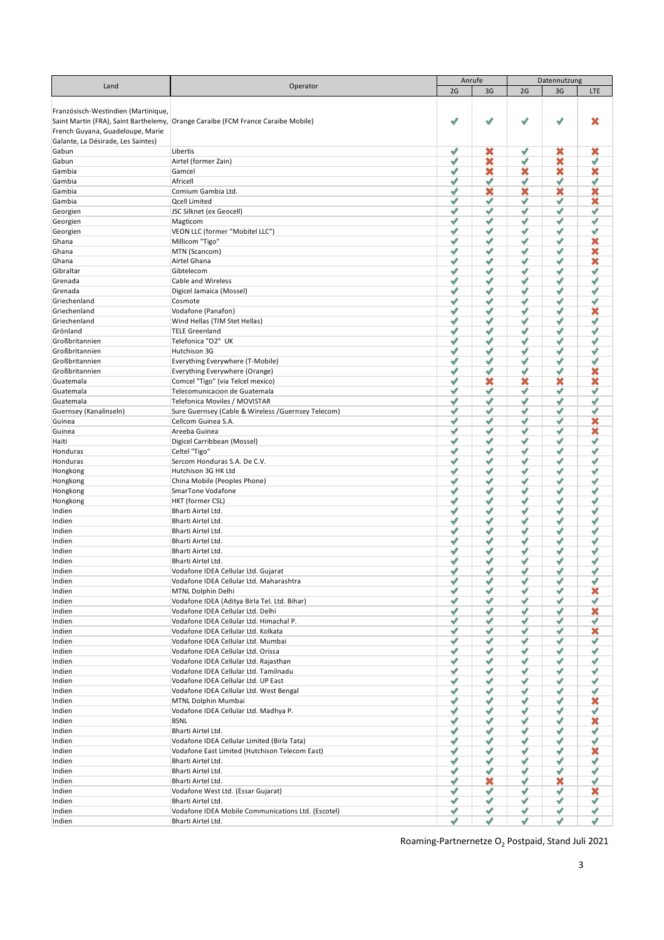|                                     |                                                                                  | Anrufe               |              | Datennutzung         |                          |            |
|-------------------------------------|----------------------------------------------------------------------------------|----------------------|--------------|----------------------|--------------------------|------------|
| Land                                | Operator                                                                         | 2G                   | 3G           | 2G                   | 3G                       | <b>LTE</b> |
|                                     |                                                                                  |                      |              |                      |                          |            |
|                                     |                                                                                  |                      |              |                      |                          |            |
| Französisch-Westindien (Martinique, |                                                                                  |                      |              |                      |                          |            |
|                                     | Saint Martin (FRA), Saint Barthelemy, Orange Caraibe (FCM France Caraibe Mobile) | $\mathscr{I}$        | ℐ            | ℐ                    | ✔                        | ×          |
| French Guyana, Guadeloupe, Marie    |                                                                                  |                      |              |                      |                          |            |
| Galante, La Désirade, Les Saintes)  |                                                                                  |                      |              |                      |                          |            |
| Gabun                               | Libertis                                                                         | √                    | ×            | ✔                    | ×                        | ×          |
| Gabun                               | Airtel (former Zain)                                                             | ℐ                    | ×            | ℐ                    | ×                        | √          |
|                                     |                                                                                  |                      |              |                      |                          |            |
| Gambia                              | Gamcel                                                                           | $\mathscr{I}$        | ×            | ×                    | ×                        | ×          |
| Gambia                              | Africell                                                                         | √                    | √            | √                    | ✔                        | ✔          |
| Gambia                              | Comium Gambia Ltd.                                                               | ℐ                    | ×            | ×                    | ×                        | ×          |
| Gambia                              | <b>Qcell Limited</b>                                                             | √                    | √            | √                    | ℐ                        | ×          |
| Georgien                            | JSC Silknet (ex Geocell)                                                         | ℐ                    | $\checkmark$ | ℐ                    | ℐ                        | ℐ          |
|                                     |                                                                                  | √                    |              | ℐ                    | ℐ                        | ℐ          |
| Georgien                            | Magticom                                                                         |                      | √            |                      |                          |            |
| Georgien                            | VEON LLC (former "Mobitel LLC")                                                  | ✔                    | ✔            | ✔                    | √                        | √          |
| Ghana                               | Millicom "Tigo"                                                                  | √                    | ✔            | ✔                    | ℐ                        | ×          |
| Ghana                               | MTN (Scancom)                                                                    | √                    | ✔            | ✔                    | ✔                        | ×          |
| Ghana                               | Airtel Ghana                                                                     | √                    | √            | √                    | √                        | ×          |
| Gibraltar                           | Gibtelecom                                                                       | ℐ                    | √            | ℐ                    | √                        | ✔          |
|                                     |                                                                                  |                      |              |                      |                          |            |
| Grenada                             | Cable and Wireless                                                               | ℐ                    | √            | ℐ                    | √                        | √          |
| Grenada                             | Digicel Jamaica (Mossel)                                                         | ℐ                    | √            | ℐ                    | √                        | √          |
| Griechenland                        | Cosmote                                                                          | ℐ                    | √            | ℐ                    | $\overline{\mathscr{S}}$ | √          |
| Griechenland                        | Vodafone (Panafon)                                                               | $\blacktriangledown$ | ✔            | ✔                    | √                        | ×          |
| Griechenland                        | Wind Hellas (TIM Stet Hellas)                                                    | $\mathscr{S}$        | ✔            | $\mathscr{S}$        | $\mathscr{S}$            | ✔          |
|                                     |                                                                                  | $\sqrt{2}$           | √            | ℐ                    | √                        | √          |
| Grönland                            | <b>TELE Greenland</b>                                                            |                      |              |                      |                          |            |
| Großbritannien                      | Telefonica "O2" UK                                                               | $\mathscr{S}$        | √            | $\mathscr{S}$        | $\mathscr{S}$            | √          |
| Großbritannien                      | Hutchison 3G                                                                     | $\mathscr{S}$        | √            | ℐ                    | √                        | ✔          |
| Großbritannien                      | Everything Everywhere (T-Mobile)                                                 | $\mathscr{S}$        | √            | $\sqrt{2}$           | $\overline{\mathscr{S}}$ | ℐ          |
| Großbritannien                      | Everything Everywhere (Orange)                                                   | $\mathscr{S}$        | √            | √                    | $\checkmark$             | ×          |
| Guatemala                           | Comcel "Tigo" (via Telcel mexico)                                                | $\mathscr I$         | ×            | ×                    | ×                        | ×          |
|                                     |                                                                                  |                      |              |                      |                          |            |
| Guatemala                           | Telecomunicacion de Guatemala                                                    | ℐ                    | √            | √                    | $\hat{\mathcal{A}}$      | √          |
| Guatemala                           | Telefonica Moviles / MOVISTAR                                                    | $\mathscr{A}$        | ℐ            | √                    | √                        | √          |
| Guernsey (Kanalinseln)              | Sure Guernsey (Cable & Wireless /Guernsey Telecom)                               | √                    | ✔            | ℐ                    | $\hat{\mathcal{A}}$      | √          |
| Guinea                              | Cellcom Guinea S.A.                                                              | $\mathscr{P}$        | ℐ            | ℐ                    | $\mathscr{S}$            | ×          |
| Guinea                              | Areeba Guinea                                                                    | ✔                    | ✔            | ℐ                    | $\mathscr{A}$            | ×          |
|                                     |                                                                                  |                      | ℐ            |                      | √                        | ℐ          |
| Haiti                               | Digicel Carribbean (Mossel)                                                      | $\mathscr{I}$        |              | √                    |                          |            |
| Honduras                            | Celtel "Tigo"                                                                    | ℐ                    | √            | $\checkmark$         | √                        | ✔          |
| Honduras                            | Sercom Honduras S.A. De C.V.                                                     | √                    | ℐ            | $\checkmark$         | √                        | ℐ          |
| Hongkong                            | Hutchison 3G HK Ltd                                                              | $\mathscr N$         | $\checkmark$ | $\checkmark$         | √                        | ✔          |
| Hongkong                            | China Mobile (Peoples Phone)                                                     | √                    | ℐ            | √                    | √                        | ℐ          |
| Hongkong                            | SmarTone Vodafone                                                                | √                    | ✔            | ℐ                    | √                        | √          |
|                                     |                                                                                  |                      |              |                      |                          | ℐ          |
| Hongkong                            | HKT (former CSL)                                                                 | √                    | ℐ            | ℐ                    | √                        |            |
| Indien                              | Bharti Airtel Ltd.                                                               | ✔                    | ✔            | ℐ                    | √                        | √          |
| Indien                              | Bharti Airtel Ltd.                                                               | ℐ                    | ℐ            | √                    | $\mathscr{I}$            | √          |
| Indien                              | Bharti Airtel Ltd.                                                               | ℐ                    | √            | ℐ                    | ℐ                        | √          |
| Indien                              | Bharti Airtel Ltd.                                                               | ℐ                    | ℐ            | √                    | $\mathscr{I}$            | √          |
| Indien                              | Bharti Airtel Ltd.                                                               | ℐ                    | √            | ℐ                    | √                        | √          |
|                                     |                                                                                  |                      |              |                      |                          |            |
| Indien                              | Bharti Airtel Ltd.                                                               | ℐ                    | ℐ            | ℐ                    | ℐ                        | √          |
| Indien                              | Vodafone IDEA Cellular Ltd. Gujarat                                              | ℐ                    | ✔            | ℐ                    | √                        | √          |
| Indien                              | Vodafone IDEA Cellular Ltd. Maharashtra                                          | ✔                    | √            | √                    | √                        | √          |
| Indien                              | MTNL Dolphin Delhi                                                               | $\mathscr N$         | √            | √                    | $\mathscr{A}$            | ×          |
| Indien                              | Vodafone IDEA (Aditya Birla Tel. Ltd. Bihar)                                     | $\checkmark$         | √            | √                    | √                        | √          |
|                                     | Vodafone IDEA Cellular Ltd. Delhi                                                | $\mathscr N$         | √            | √                    | √                        | ×          |
| Indien                              |                                                                                  |                      |              |                      |                          |            |
| Indien                              | Vodafone IDEA Cellular Ltd. Himachal P.                                          | $\checkmark$         | √            | $\blacktriangledown$ | √                        | √          |
| Indien                              | Vodafone IDEA Cellular Ltd. Kolkata                                              | $\checkmark$         | √            | √                    | √                        | ×          |
| Indien                              | Vodafone IDEA Cellular Ltd. Mumbai                                               | $\checkmark$         | √            | √                    | √                        | √          |
| Indien                              | Vodafone IDEA Cellular Ltd. Orissa                                               | $\checkmark$         | √            | √                    | √                        | √          |
| Indien                              | Vodafone IDEA Cellular Ltd. Rajasthan                                            | $\checkmark$         | √            | √                    | √                        | √          |
|                                     | Vodafone IDEA Cellular Ltd. Tamilnadu                                            | $\checkmark$         | √            | √                    | √                        | √          |
| Indien                              |                                                                                  |                      |              |                      |                          |            |
| Indien                              | Vodafone IDEA Cellular Ltd. UP East                                              | √                    | ✔            | ✔                    | ✔                        | ✔          |
| Indien                              | Vodafone IDEA Cellular Ltd. West Bengal                                          | √                    | ✔            | ✔                    | ✔                        | ✔          |
| Indien                              | MTNL Dolphin Mumbai                                                              | $\checkmark$         | √            | √                    | √                        | ×          |
| Indien                              | Vodafone IDEA Cellular Ltd. Madhya P.                                            | $\checkmark$         | √            | √                    | √                        | √          |
| Indien                              | <b>BSNL</b>                                                                      | $\checkmark$         | √            | √                    | √                        | ×          |
|                                     |                                                                                  |                      |              |                      |                          |            |
| Indien                              | Bharti Airtel Ltd.                                                               | $\mathscr N$         | √            | √                    | √                        | √          |
| Indien                              | Vodafone IDEA Cellular Limited (Birla Tata)                                      | $\checkmark$         | √            | √                    | √                        | √          |
| Indien                              | Vodafone East Limited (Hutchison Telecom East)                                   | √                    | ✔            | ✔                    | ✔                        | ×          |
| Indien                              | Bharti Airtel Ltd.                                                               | √                    | ✔            | ✔                    | ✔                        | ✔          |
| Indien                              | Bharti Airtel Ltd.                                                               | √                    | ✔            | ✔                    | ✔                        | ✔          |
|                                     |                                                                                  |                      |              |                      |                          |            |
| Indien                              | Bharti Airtel Ltd.                                                               | $\checkmark$         | ×            | √                    | ×                        | √          |
| Indien                              | Vodafone West Ltd. (Essar Gujarat)                                               | $\mathscr N$         | √            | √                    | $\mathscr{I}$            | ×          |
| Indien                              | Bharti Airtel Ltd.                                                               | $\mathscr N$         | √            | √                    | √                        | √          |
| Indien                              | Vodafone IDEA Mobile Communications Ltd. (Escotel)                               | $\blacktriangledown$ | √            | √                    | √                        | √          |
| Indien                              | Bharti Airtel Ltd.                                                               | $\mathscr N$         | ✔            | ✔                    | √                        | √          |
|                                     |                                                                                  |                      |              |                      |                          |            |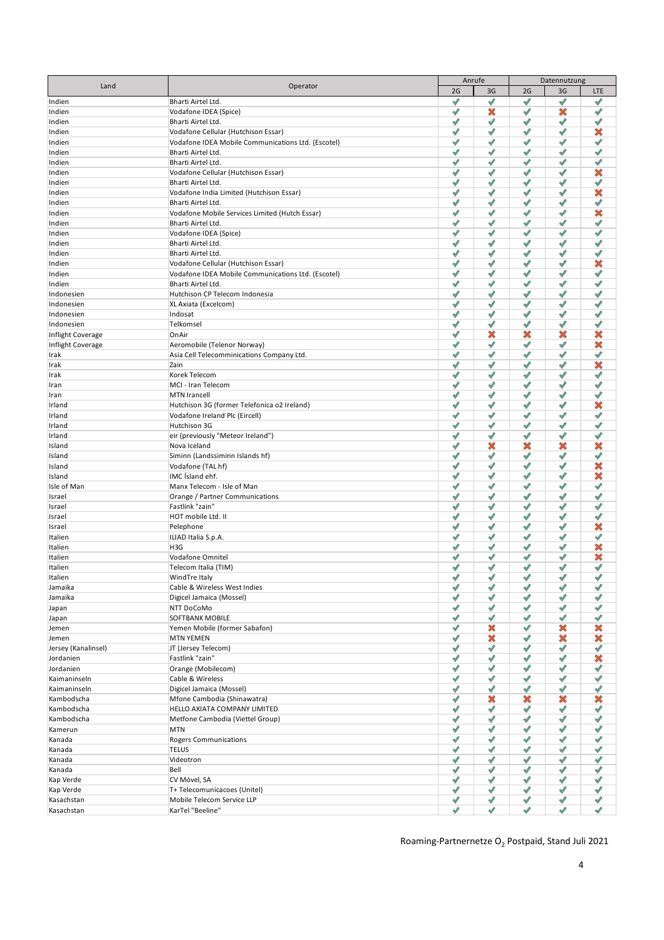|                     |                                                    | Anrufe        |                          |                          | Datennutzung |              |
|---------------------|----------------------------------------------------|---------------|--------------------------|--------------------------|--------------|--------------|
| Land                | Operator                                           | 2G            | 3G                       | 2G                       | 3G           | LTE          |
|                     |                                                    | √             | $\overline{\mathscr{S}}$ | $\overline{\mathscr{A}}$ | √            | √            |
| Indien              | Bharti Airtel Ltd.                                 |               |                          |                          |              |              |
| Indien              | Vodafone IDEA (Spice)                              | ℐ             | ×                        | √                        | ×            | √            |
| Indien              | Bharti Airtel Ltd.                                 | $\checkmark$  | $\mathscr{I}$            | ℐ                        | ✔            | √            |
| Indien              | Vodafone Cellular (Hutchison Essar)                | ℐ             | √                        | ✔                        | √            | ×            |
| Indien              | Vodafone IDEA Mobile Communications Ltd. (Escotel) | √             | √                        | √                        | √            | √            |
| Indien              | Bharti Airtel Ltd.                                 | ℐ             | √                        | ✔                        | √            | √            |
|                     |                                                    |               |                          |                          |              |              |
| Indien              | Bharti Airtel Ltd.                                 | √             | √                        | $\overline{\mathscr{A}}$ | √            | √            |
| Indien              | Vodafone Cellular (Hutchison Essar)                | √             | $\mathscr{S}$            | ✔                        | ✔            | ×            |
| Indien              | Bharti Airtel Ltd.                                 | √             | √                        | ✔                        | √            | √            |
| Indien              | Vodafone India Limited (Hutchison Essar)           | √             | √                        | ✔                        | ✔            | ×            |
|                     | Bharti Airtel Ltd.                                 | ℐ             | √                        | $\checkmark$             | √            | ✔            |
| Indien              |                                                    |               |                          |                          |              |              |
| Indien              | Vodafone Mobile Services Limited (Hutch Essar)     | ℐ             | √                        | √                        | ✔            | ×            |
| Indien              | Bharti Airtel Ltd.                                 | ℐ             | $\mathscr I$             | ℐ                        | ℐ            | √            |
| Indien              | Vodafone IDEA (Spice)                              | ℐ             | √                        | ✔                        | ✔            | √            |
| Indien              | Bharti Airtel Ltd.                                 | ℐ             | √                        | ✔                        | ✔            | √            |
| Indien              | Bharti Airtel Ltd.                                 | ℐ             | √                        | ✔                        | ✔            | √            |
|                     |                                                    | ℐ             | √                        | ✔                        | ℐ            | ×            |
| Indien              | Vodafone Cellular (Hutchison Essar)                |               |                          |                          |              |              |
| Indien              | Vodafone IDEA Mobile Communications Ltd. (Escotel) | ℐ             | √                        | √                        | ✔            | √            |
| Indien              | Bharti Airtel Ltd.                                 | √             | √                        | ✔                        | √            | √            |
| Indonesien          | Hutchison CP Telecom Indonesia                     | √             | √                        | ✔                        | ✔            | √            |
| Indonesien          | XL Axiata (Excelcom)                               | ℐ             | ✔                        | √                        | ✔            | √            |
| Indonesien          | Indosat                                            | √             | √                        | ✔                        | ✔            | √            |
|                     |                                                    |               |                          |                          |              |              |
| Indonesien          | Telkomsel                                          | √             | √                        | √                        | ℐ            | √            |
| Inflight Coverage   | OnAir                                              | $\mathscr{I}$ | ×                        | ×                        | ×            | ×            |
| Inflight Coverage   | Aeromobile (Telenor Norway)                        | ✔             | √                        | √                        | ℐ            | ×            |
| Irak                | Asia Cell Telecomminications Company Ltd.          | √             | √                        | ✔                        | √            | √            |
| Irak                | Zain                                               | ✔             | √                        | ✔                        | ✔            | ×            |
|                     |                                                    |               |                          |                          |              |              |
| Irak                | Korek Telecom                                      | ℐ             | √                        | √                        | $\checkmark$ | √            |
| Iran                | MCI - Iran Telecom                                 | ℐ             | √                        | $\checkmark$             | ℐ            | √            |
| Iran                | <b>MTN Irancell</b>                                | ℐ             | √                        | √                        | $\checkmark$ | √            |
| Irland              | Hutchison 3G (former Telefonica o2 Ireland)        | √             | √                        | $\sqrt{2}$               | ✔            | ×            |
| Irland              | Vodafone Ireland Plc (Eircell)                     | √             | √                        | √                        | ℐ            | √            |
|                     |                                                    | √             |                          | $\mathcal{P}$            |              |              |
| Irland              | Hutchison 3G                                       |               | √                        |                          | ✔            | √            |
| Irland              | eir (previously "Meteor Ireland")                  | ℐ             | √                        | ✔                        | √            | √            |
| Island              | Nova Iceland                                       | ✔             | ×                        | ×                        | ×            | ×            |
| Island              | Siminn (Landssiminn Islands hf)                    | √             | √                        | √                        | ✔            | √            |
| Island              | Vodafone (TAL hf)                                  | ✔             | √                        | $\overline{\mathscr{S}}$ | ✔            | ×            |
| Island              | IMC Island ehf.                                    | √             | √                        | ✔                        | √            | ×            |
|                     |                                                    |               |                          |                          |              |              |
| Isle of Man         | Manx Telecom - Isle of Man                         | ℐ             | √                        | $\mathscr V$             | √            | √            |
| Israel              | Orange / Partner Communications                    | ℐ             | √                        | ✔                        | √            | √            |
| Israel              | Fastlink "zain"                                    | ✔             | √                        | ✔                        | ✔            | ✔            |
| Israel              | HOT mobile Ltd. II                                 | √             | √                        | √                        | √            | ✔            |
| Israel              | Pelephone                                          | √             | √                        | ✔                        | ✔            | ×            |
| Italien             | ILIAD Italia S.p.A.                                | ℐ             | √                        | √                        | ℐ            | √            |
|                     |                                                    |               |                          |                          |              |              |
| Italien             | H3G                                                | ℐ             | √                        | ✔                        | ℐ            | ×            |
| Italien             | Vodafone Omnitel                                   | ℐ             | √                        | √                        | √            | ×            |
| Italien             | Telecom Italia (TIM)                               | √             | √                        | ℐ                        | ✔            | √            |
| Italien             | WindTre Italy                                      | $\mathcal{P}$ | $\sqrt{2}$               | $\sqrt{2}$               | $\sqrt{2}$   | ✔            |
| Jamaika             | Cable & Wireless West Indies                       | ✔             | ✔                        | ✔                        | ✔            | ✔            |
| Jamaika             | Digicel Jamaica (Mossel)                           | ✔             | $\mathscr I$             | ✔                        | √            | √            |
|                     |                                                    |               |                          |                          |              |              |
| Japan               | NTT DoCoMo                                         | ✔             | $\mathscr{I}$            | √                        | √            | $\checkmark$ |
| Japan               | SOFTBANK MOBILE                                    | √             | ✔                        | ✔                        | ✔            | √            |
| Jemen               | Yemen Mobile (former Sabafon)                      | √             | ×                        | ✔                        | ×            | ×            |
| Jemen               | <b>MTN YEMEN</b>                                   | √             | ×                        | ✔                        | ×            | ×            |
| Jersey (Kanalinsel) | JT (Jersey Telecom)                                | ℐ             | $\checkmark$             | √                        | √            | $\checkmark$ |
| Jordanien           |                                                    | ✔             | $\mathscr I$             | ✔                        | √            |              |
|                     | Fastlink "zain"                                    |               |                          |                          |              | ×            |
| Jordanien           | Orange (Mobilecom)                                 | ✔             | √                        | ✔                        | ✔            | ✔            |
| Kaimaninseln        | Cable & Wireless                                   | √             | √                        | ✔                        | √            | √            |
| Kaimaninseln        | Digicel Jamaica (Mossel)                           | ✔             | √                        | ✔                        | ✔            | √            |
| Kambodscha          | Mfone Cambodia (Shinawatra)                        | ✔             | ×                        | ×                        | ×            | ×            |
| Kambodscha          | HELLO AXIATA COMPANY LIMITED                       | ✔             | $\mathscr N$             | √                        | √            | ✔            |
|                     |                                                    |               |                          |                          |              |              |
| Kambodscha          | Metfone Cambodia (Viettel Group)                   | √             | √                        | √                        | √            | √            |
| Kamerun             | <b>MTN</b>                                         | ✔             | √                        | ✔                        | √            | ✔            |
| Kanada              | <b>Rogers Communications</b>                       | ✔             | √                        | √                        | ✔            | √            |
| Kanada              | <b>TELUS</b>                                       | ✔             | √                        | √                        | ✔            | ✔            |
| Kanada              | Videotron                                          | ℐ             | $\checkmark$             | √                        | √            | ✔            |
|                     | Bell                                               | √             | $\mathscr N$             | √                        | √            | ✔            |
| Kanada              |                                                    |               |                          |                          |              |              |
| Kap Verde           | CV Móvel, SA                                       | ✔             | $\checkmark$             | √                        | √            | ✔            |
| Kap Verde           | T+ Telecomunicacoes (Unitel)                       | ✔             | ✔                        | ✔                        | ✔            | $\checkmark$ |
| Kasachstan          | Mobile Telecom Service LLP                         | ✔             | ✔                        | ✔                        | ✔            | $\checkmark$ |
| Kasachstan          | KarTel "Beeline"                                   | √             | ✔                        | ✔                        | $\checkmark$ | √            |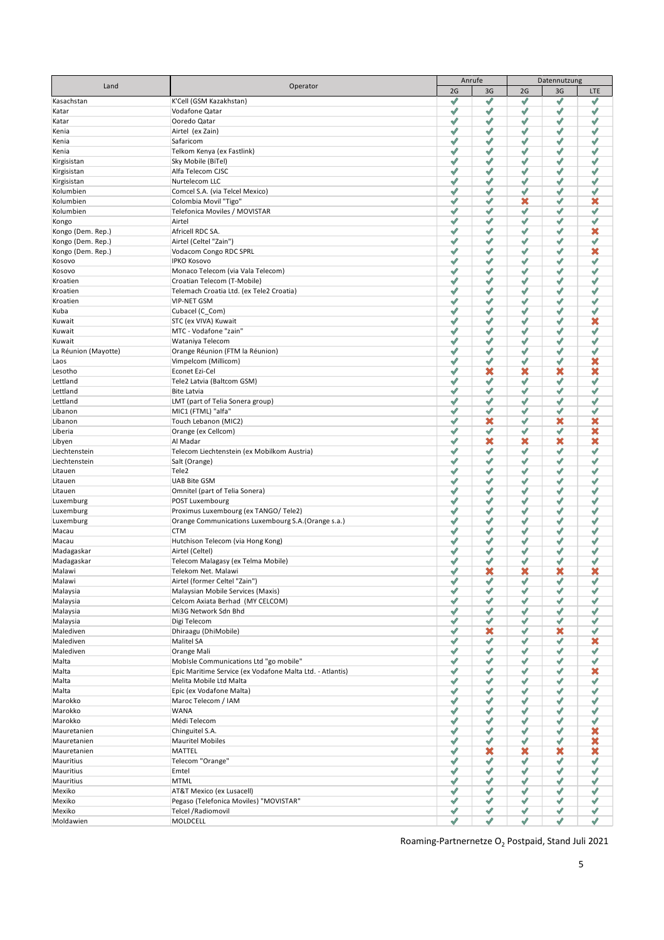| Land                    | Operator                                                  |        | Anrufe                        | Datennutzung         |              |                          |  |
|-------------------------|-----------------------------------------------------------|--------|-------------------------------|----------------------|--------------|--------------------------|--|
|                         |                                                           | 2G     | 3G                            | 2G                   | 3G           | LTE                      |  |
| Kasachstan              | K'Cell (GSM Kazakhstan)                                   | √      | ℐ                             | ℐ                    | √            | $\mathscr{I}$            |  |
| Katar                   | Vodafone Qatar                                            | √      | $\mathcal{P}$                 | √                    | √            | ℐ                        |  |
| Katar                   | Ooredo Qatar<br>Airtel (ex Zain)                          | ℐ<br>√ | $\mathscr N$<br>$\mathscr{I}$ | ℐ<br>√               | ℐ<br>√       | √<br>√                   |  |
| Kenia<br>Kenia          | Safaricom                                                 | ℐ      | $\overline{\mathscr{A}}$      | ℐ                    | √            | √                        |  |
| Kenia                   | Telkom Kenya (ex Fastlink)                                | √      | $\mathscr{A}$                 | ✔                    | ✔            | $\overline{\mathscr{S}}$ |  |
| Kirgisistan             | Sky Mobile (BiTel)                                        | √      | ✔                             | √                    | √            | ℐ                        |  |
| Kirgisistan             | Alfa Telecom CJSC                                         | √      | ✔                             | $\checkmark$         | √            | ℐ                        |  |
| Kirgisistan             | Nurtelecom LLC                                            | √      | $\mathscr{S}$                 | ℐ                    | √            | $\checkmark$             |  |
| Kolumbien               | Comcel S.A. (via Telcel Mexico)                           | √      | $\mathscr{I}$                 | $\hat{\mathcal{N}}$  | √            | $\checkmark$             |  |
| Kolumbien               | Colombia Movil "Tigo"                                     | √      | $\overline{\mathscr{L}}$      | ×                    | √            | ×                        |  |
| Kolumbien               | Telefonica Moviles / MOVISTAR                             | √      | $\checkmark$                  | $\checkmark$         | √            | $\checkmark$             |  |
| Kongo                   | Airtel                                                    | √      | $\mathscr{I}$                 | √                    | $\checkmark$ | ℐ                        |  |
| Kongo (Dem. Rep.)       | Africell RDC SA.                                          | √      | ✔                             | ✔                    | √            | ×                        |  |
| Kongo (Dem. Rep.)       | Airtel (Celtel "Zain")                                    | √      | √                             | √                    | √            | ℐ                        |  |
| Kongo (Dem. Rep.)       | Vodacom Congo RDC SPRL                                    | √      | $\checkmark$<br>$\mathscr{I}$ | $\checkmark$         | ✔            | ×<br>ℐ                   |  |
| Kosovo                  | <b>IPKO Kosovo</b><br>Monaco Telecom (via Vala Telecom)   | ℐ<br>√ | $\mathscr{I}$                 | √<br>ℐ               | √<br>√       | ℐ                        |  |
| Kosovo<br>Kroatien      | Croatian Telecom (T-Mobile)                               | √      | $\mathscr{I}$                 | √                    | √            | ℐ                        |  |
| Kroatien                | Telemach Croatia Ltd. (ex Tele2 Croatia)                  | √      | $\mathscr{I}$                 | ℐ                    | √            | ℐ                        |  |
| Kroatien                | <b>VIP-NET GSM</b>                                        | √      | ℐ                             | ℐ                    | √            | ℐ                        |  |
| Kuba                    | Cubacel (C_Com)                                           | √      | ✔                             | ✔                    | ✔            | ✔                        |  |
| Kuwait                  | STC (ex VIVA) Kuwait                                      | √      | ✔                             | ℐ                    | √            | ×                        |  |
| Kuwait                  | MTC - Vodafone "zain"                                     | √      | √                             | √                    | √            | √                        |  |
| Kuwait                  | Wataniya Telecom                                          | √      | √                             | √                    | √            | ℐ                        |  |
| La Réunion (Mayotte)    | Orange Réunion (FTM la Réunion)                           | √      | √                             | $\mathscr{S}$        | √            | ℐ                        |  |
| Laos                    | Vimpelcom (Millicom)                                      | ℐ      | √                             | √                    | √            | ×                        |  |
| Lesotho                 | Econet Ezi-Cel                                            | √      | ×                             | ×                    | ×            | ×                        |  |
| Lettland                | Tele2 Latvia (Baltcom GSM)                                | √      | $\checkmark$                  | ℐ                    | $\checkmark$ | ℐ                        |  |
| Lettland                | <b>Bite Latvia</b>                                        | √      | √                             | ℐ                    | √            | ℐ                        |  |
| Lettland                | LMT (part of Telia Sonera group)                          | √      | √                             | ℐ                    | √            | ℐ                        |  |
| Libanon                 | MIC1 (FTML) "alfa"                                        | √      | ✔                             | ✔                    | ✔            | ✔                        |  |
| Libanon                 | Touch Lebanon (MIC2)                                      | √      | ×                             | $\blacktriangledown$ | ×            | ×                        |  |
| Liberia                 | Orange (ex Cellcom)                                       | √      | √                             | ✔                    | ✔            | ×<br>×                   |  |
| Libyen<br>Liechtenstein | Al Madar<br>Telecom Liechtenstein (ex Mobilkom Austria)   | ✔<br>√ | ×<br>$\overline{\mathscr{L}}$ | ×<br>√               | ×<br>ℐ       | ℐ                        |  |
| Liechtenstein           | Salt (Orange)                                             | √      | $\overline{\mathscr{S}}$      | $\mathscr{S}$        | ℐ            | ℐ                        |  |
| Litauen                 | Tele2                                                     | ℐ      | ✔                             | $\mathcal{P}$        | √            | √                        |  |
| Litauen                 | <b>UAB Bite GSM</b>                                       | √      | $\overline{\mathscr{L}}$      | √                    | ℐ            | ℐ                        |  |
| Litauen                 | Omnitel (part of Telia Sonera)                            | √      | ✔                             | ℐ                    | ✔            | ✔                        |  |
| Luxemburg               | POST Luxembourg                                           | √      | $\hat{\mathcal{A}}$           | ℐ                    | √            | ℐ                        |  |
| Luxemburg               | Proximus Luxembourg (ex TANGO/Tele2)                      | √      | √                             | ✔                    | ✔            | ✔                        |  |
| Luxemburg               | Orange Communications Luxembourg S.A. (Orange s.a.)       | √      | $\mathscr{I}$                 | √                    | √            | ℐ                        |  |
| Macau                   | <b>CTM</b>                                                | √      | $\mathscr{I}$                 | √                    | √            | ℐ                        |  |
| Macau                   | Hutchison Telecom (via Hong Kong)                         | √      | $\mathscr{I}$                 | √                    | √            | ℐ                        |  |
| Madagaskar              | Airtel (Celtel)                                           | √      | √                             | √                    | √            | $\checkmark$             |  |
| Madagaskar              | Telecom Malagasy (ex Telma Mobile)                        | √      | ℐ                             | ✔                    | √            | ℐ                        |  |
| Malawi                  | Telekom Net. Malawi                                       | √      | ×                             | ×                    | ×            | ×                        |  |
| Malawi                  | Airtel (former Celtel "Zain")                             | √      | √                             | √                    | √            | ✔                        |  |
| Malaysia                | Malaysian Mobile Services (Maxis)                         | ✔      | $\mathscr N$                  | √                    | ℐ            | ℐ                        |  |
| Malaysia<br>Malaysia    | Celcom Axiata Berhad (MY CELCOM)<br>Mi3G Network Sdn Bhd  | √<br>ℐ | √<br>√                        | √<br>√               | √<br>ℐ       | √<br>√                   |  |
| Malaysia                | Digi Telecom                                              | √      | $\mathscr N$                  | √                    | √            | √                        |  |
| Malediven               | Dhiraagu (DhiMobile)                                      | √      | ×                             | √                    | ×            | √                        |  |
| Malediven               | Malitel SA                                                | √      | $\mathscr N$                  | √                    | √            | ×                        |  |
| Malediven               | Orange Mali                                               | √      | √                             | √                    | ℐ            | √                        |  |
| Malta                   | MobIsle Communications Ltd "go mobile"                    | √      | $\mathscr N$                  | √                    | ℐ            | √                        |  |
| Malta                   | Epic Maritime Service (ex Vodafone Malta Ltd. - Atlantis) | √      | $\checkmark$                  | √                    | √            | ×                        |  |
| Malta                   | Melita Mobile Ltd Malta                                   | √      | √                             | ✔                    | ✔            | ✔                        |  |
| Malta                   | Epic (ex Vodafone Malta)                                  | √      | √                             | ✔                    | ✔            | ✔                        |  |
| Marokko                 | Maroc Telecom / IAM                                       | √      | $\checkmark$                  | √                    | √            | ℐ                        |  |
| Marokko                 | WANA                                                      | ✔      | √                             | √                    | √            | √                        |  |
| Marokko                 | Médi Telecom                                              | √      | √                             | √                    | √            | √                        |  |
| Mauretanien             | Chinguitel S.A.                                           | ✔      | √                             | √                    | √            | ×                        |  |
| Mauretanien             | <b>Mauritel Mobiles</b>                                   | √      | $\mathscr N$                  | √                    | $\checkmark$ | ×                        |  |
| Mauretanien             | MATTEL                                                    | √      | ×                             | ×                    | ×            | ×                        |  |
| Mauritius               | Telecom "Orange"                                          | √      | √                             | ✔                    | ✔            | ✔                        |  |
| Mauritius               | Emtel<br><b>MTML</b>                                      | √      | √                             | ✔                    | √            | ✔                        |  |
| Mauritius<br>Mexiko     | AT&T Mexico (ex Lusacell)                                 | ✔<br>✔ | $\checkmark$<br>$\mathscr N$  | √<br>√               | √<br>✔       | √<br>$\mathscr N$        |  |
| Mexiko                  | Pegaso (Telefonica Moviles) "MOVISTAR"                    | ✔      | $\mathscr N$                  | √                    | √            | ✔                        |  |
| Mexiko                  | Telcel / Radiomovil                                       | ℐ      | $\checkmark$                  | √                    | ✔            | √                        |  |
| Moldawien               | MOLDCELL                                                  | √      | ✔                             | √                    | √            | ✔                        |  |
|                         |                                                           |        |                               |                      |              |                          |  |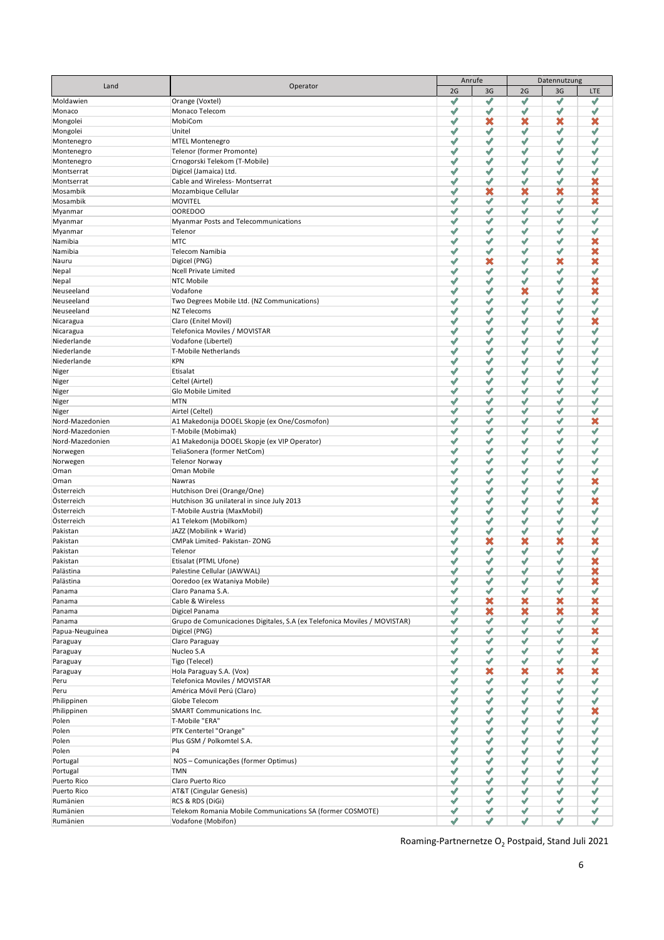| Land             | Operator                                                                  |    | Anrufe                   | Datennutzung         |              |                       |  |
|------------------|---------------------------------------------------------------------------|----|--------------------------|----------------------|--------------|-----------------------|--|
|                  |                                                                           | 2G | 3G                       | 2G                   | 3G           | LTE                   |  |
| Moldawien        | Orange (Voxtel)                                                           | √  | √                        | ✔                    | ℐ            | ✔                     |  |
| Monaco           | Monaco Telecom                                                            | √  | $\checkmark$             | √                    | √            | √                     |  |
| Mongolei         | MobiCom                                                                   | √  | ×                        | ×                    | ×            | ×                     |  |
| Mongolei         | Unitel                                                                    | √  | $\checkmark$             | $\checkmark$         | √            | $\checkmark$          |  |
| Montenegro       | <b>MTEL Montenegro</b>                                                    | √  | $\mathscr{I}$            | √                    | √            | ℐ                     |  |
| Montenegro       | Telenor (former Promonte)                                                 | √  | $\hat{\mathcal{A}}$      | √                    | √            | ℐ                     |  |
| Montenegro       | Crnogorski Telekom (T-Mobile)                                             | ℐ  | ✔                        | √                    | √            | ℐ                     |  |
| Montserrat       | Digicel (Jamaica) Ltd.                                                    | √  | ✔                        | ✔                    | ✔            | ℐ                     |  |
| Montserrat       | Cable and Wireless- Montserrat                                            | √  | $\mathscr{I}$            | √                    | √            | ×                     |  |
| Mosambik         | Mozambique Cellular                                                       | √  | ×                        | ×                    | ×            | ×                     |  |
| Mosambik         | <b>MOVITEL</b>                                                            | √  | $\mathscr{I}$            | √                    | √            | ×                     |  |
| Myanmar          | <b>OOREDOO</b>                                                            | √  | ℐ                        | ℐ                    | √            | √                     |  |
| Myanmar          | Myanmar Posts and Telecommunications                                      | √  | ℐ                        | √                    | √            | ℐ                     |  |
| Myanmar          | Telenor                                                                   | √  | ✔                        | ✔                    | ✔            | ✔                     |  |
| Namibia          | <b>MTC</b>                                                                | √  | ✔                        | ℐ                    | ✔            | ×                     |  |
| Namibia          | Telecom Namibia                                                           | √  | ✔                        | ✔                    | ✔            | ×                     |  |
| Nauru            | Digicel (PNG)                                                             | ℐ  | ×                        | ℐ                    | ×            | ×                     |  |
| Nepal            | <b>Ncell Private Limited</b>                                              | √  | √                        | √                    | $\checkmark$ | √                     |  |
| Nepal            | NTC Mobile                                                                | √  | ℐ                        | ℐ                    | √            | ×                     |  |
| Neuseeland       | Vodafone                                                                  | √  | √                        | ×                    | √            | ×                     |  |
| Neuseeland       | Two Degrees Mobile Ltd. (NZ Communications)                               | √  | √                        | √                    | √            | ℐ                     |  |
| Neuseeland       | NZ Telecoms                                                               | √  | √                        | ✔                    | ✔            | ✔                     |  |
| Nicaragua        | Claro (Enitel Movil)                                                      | √  | $\mathscr{S}$            | ✔                    | ✔            | ×                     |  |
| Nicaragua        | Telefonica Moviles / MOVISTAR                                             | √  | √                        | Ý                    | √            | √                     |  |
| Niederlande      | Vodafone (Libertel)                                                       | √  | √                        | $\mathscr{S}$        | √            | ℐ                     |  |
| Niederlande      | T-Mobile Netherlands                                                      | √  | √                        | $\mathscr{S}$        | √            | ℐ                     |  |
| Niederlande      | <b>KPN</b>                                                                | √  | $\sqrt{2}$               | $\blacktriangledown$ | √            | ℐ                     |  |
|                  |                                                                           | √  |                          | $\mathscr{A}$        | √            | √                     |  |
| Niger            | Etisalat                                                                  |    | √                        | $\mathscr N$         |              |                       |  |
| Niger            | Celtel (Airtel)                                                           | √  | ℐ                        |                      | ℐ            | ℐ                     |  |
| Niger            | Glo Mobile Limited                                                        | √  | √                        | $\mathcal{P}$        | √            | √                     |  |
| Niger            | <b>MTN</b>                                                                | √  | $\overline{\mathscr{L}}$ | √                    | ℐ            | √                     |  |
| Niger            | Airtel (Celtel)                                                           | √  | ✔                        | ℐ                    | ✔            | ℐ                     |  |
| Nord-Mazedonien  | A1 Makedonija DOOEL Skopje (ex One/Cosmofon)                              | √  | √                        | ℐ                    | √            | ×                     |  |
| Nord-Mazedonien  | T-Mobile (Mobimak)                                                        | √  | √                        | $\checkmark$         | ✔            | ℐ                     |  |
| Nord-Mazedonien  | A1 Makedonija DOOEL Skopje (ex VIP Operator)                              | √  | $\blacktriangledown$     | √                    | √            | ℐ                     |  |
| Norwegen         | TeliaSonera (former NetCom)                                               | √  | $\sqrt{2}$               | √                    | ℐ            | ℐ                     |  |
| Norwegen         | <b>Telenor Norway</b>                                                     | √  | $\mathscr{I}$            | √                    | √            | ℐ                     |  |
| Oman             | Oman Mobile                                                               | √  | $\overline{\mathscr{L}}$ | √                    | √            | $\checkmark$          |  |
| Oman             | Nawras                                                                    | √  | $\mathscr{I}$            | $\mathscr I$         | √            | $\boldsymbol{\times}$ |  |
| Österreich       | Hutchison Drei (Orange/One)                                               | √  | √                        | ✔                    | ✔            | ℐ                     |  |
| Österreich       | Hutchison 3G unilateral in since July 2013                                | √  | $\hat{\mathcal{A}}$      | ℐ                    | ℐ            | ×                     |  |
| Österreich       | T-Mobile Austria (MaxMobil)                                               | ℐ  | √                        | ✔                    | ✔            | ℐ                     |  |
| Österreich       | A1 Telekom (Mobilkom)                                                     | √  | $\mathscr{I}$            | √                    | √            | ℐ                     |  |
| Pakistan         | JAZZ (Mobilink + Warid)                                                   | √  | $\mathscr{I}$            | √                    | √            | ℐ                     |  |
| Pakistan         | CMPak Limited- Pakistan-ZONG                                              | √  | ×                        | ×                    | ×            | ×                     |  |
| Pakistan         | Telenor                                                                   | √  | ℐ                        | √                    | ℐ            | ℐ                     |  |
| Pakistan         | Etisalat (PTML Ufone)                                                     | √  | ℐ                        | √                    | √            | ×                     |  |
| Palästina        | Palestine Cellular (JAWWAL)                                               | √  | √                        | √                    | ℐ            | ×                     |  |
| Palästina        | Ooredoo (ex Wataniya Mobile)                                              | ✔  | $\mathscr N$             | √                    | ✔            | ×                     |  |
| Panama           | Claro Panama S.A.                                                         | √  | $\checkmark$             | √                    | √            | √                     |  |
| Panama           | Cable & Wireless                                                          | √  | ×                        | ×                    | ×            | ×                     |  |
| Panama           | Digicel Panama                                                            | ✔  | ×                        | ×                    | ×            | ×                     |  |
| Panama           | Grupo de Comunicaciones Digitales, S.A (ex Telefonica Moviles / MOVISTAR) | ✔  | $\mathscr N$             | √                    | √            | √                     |  |
| Papua-Neuguinea  | Digicel (PNG)                                                             | ℐ  | √                        | √                    | √            | ×                     |  |
| Paraguay         | Claro Paraguay                                                            | √  | √                        | √                    | √            | √                     |  |
| Paraguay         | Nucleo S.A                                                                | ✔  | √                        | √                    | √            | ×                     |  |
| Paraguay         | Tigo (Telecel)                                                            | √  | $\mathscr N$             | √                    | $\checkmark$ | √                     |  |
|                  | Hola Paraguay S.A. (Vox)                                                  | ℐ  | ×                        | ×                    | ×            | ×                     |  |
| Paraguay<br>Peru | Telefonica Moviles / MOVISTAR                                             | √  | √                        | ✔                    | ✔            | ✔                     |  |
|                  |                                                                           |    |                          |                      |              |                       |  |
| Peru             | América Móvil Perú (Claro)                                                | √  | √                        | ✔                    | ✔            | ✔                     |  |
| Philippinen      | Globe Telecom                                                             | ✔  | $\checkmark$             | √                    | √            | √                     |  |
| Philippinen      | <b>SMART Communications Inc.</b>                                          | ✔  | $\checkmark$             | √                    | √            | ×                     |  |
| Polen            | T-Mobile "ERA"                                                            | ✔  | $\mathscr N$             | √                    | √            | √                     |  |
| Polen            | PTK Centertel "Orange"                                                    | ✔  | $\checkmark$             | √                    | √            | $\mathscr N$          |  |
| Polen            | Plus GSM / Polkomtel S.A.                                                 | ✔  | $\mathscr N$             | √                    | √            | √                     |  |
| Polen            | P4                                                                        | √  | √                        | ✔                    | √            | ✔                     |  |
| Portugal         | NOS - Comunicações (former Optimus)                                       | √  | ✔                        | ✔                    | ✔            | ✔                     |  |
| Portugal         | <b>TMN</b>                                                                | √  | √                        | ✔                    | ✔            | ✔                     |  |
| Puerto Rico      | Claro Puerto Rico                                                         | ✔  | $\mathscr N$             | √                    | √            | $\sqrt{2}$            |  |
| Puerto Rico      | AT&T (Cingular Genesis)                                                   | ✔  | $\checkmark$             | √                    | $\checkmark$ | √                     |  |
| Rumänien         | RCS & RDS (DiGi)                                                          | ✔  | $\mathscr N$             | √                    | √            | √                     |  |
| Rumänien         | Telekom Romania Mobile Communications SA (former COSMOTE)                 | √  | $\checkmark$             | √                    | ℐ            | √                     |  |
| Rumänien         | Vodafone (Mobifon)                                                        | √  | ✔                        | √                    | $\checkmark$ | ✔                     |  |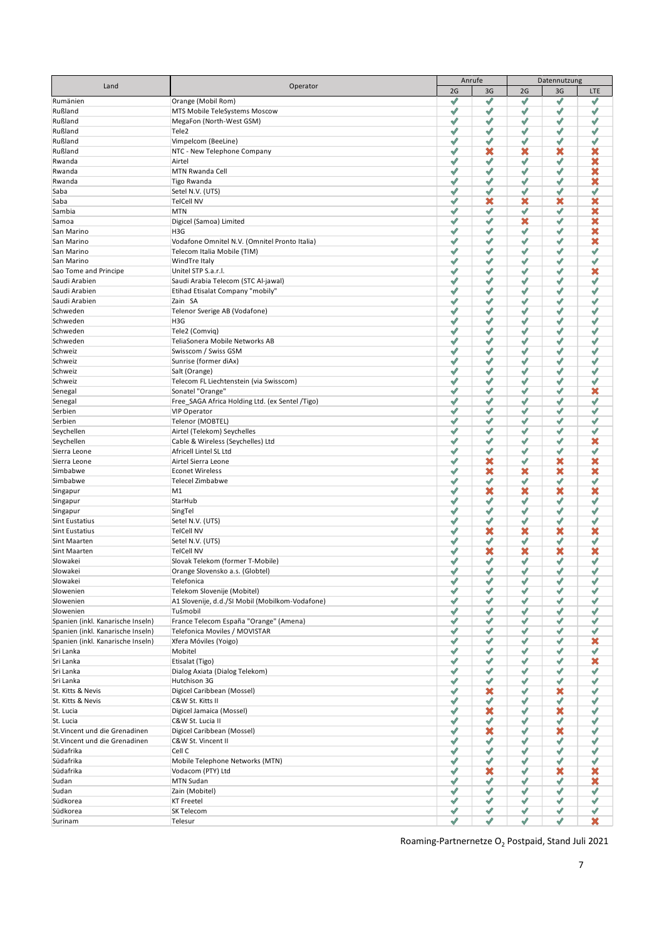| Land                              | Operator                                                               |        | Anrufe              | Datennutzung             |              |                 |  |
|-----------------------------------|------------------------------------------------------------------------|--------|---------------------|--------------------------|--------------|-----------------|--|
|                                   |                                                                        | 2G     | 3G                  | 2G                       | 3G           | LTE             |  |
| Rumänien                          | Orange (Mobil Rom)                                                     | √      | ℐ                   | √                        | √            | √               |  |
| Rußland                           | MTS Mobile TeleSystems Moscow                                          | ℐ      | √                   | √                        | √            | √               |  |
| Rußland                           | MegaFon (North-West GSM)                                               | ℐ      | ✔                   | ℐ                        | √            | √               |  |
| Rußland                           | Tele2                                                                  | ℐ      | $\hat{\mathcal{N}}$ | √                        | √            | √               |  |
| Rußland                           | Vimpelcom (BeeLine)                                                    | ℐ      | $\checkmark$        | ℐ                        | √            | $\checkmark$    |  |
| Rußland                           | NTC - New Telephone Company                                            | √      | ×                   | ×                        | ×            | ×               |  |
| Rwanda                            | Airtel                                                                 | √      | $\mathcal{P}$       | ℐ                        | √            | ×               |  |
| Rwanda                            | MTN Rwanda Cell                                                        | √      | ✔                   | $\checkmark$             | √            | ×               |  |
| Rwanda                            | Tigo Rwanda                                                            | √      | $\mathscr{A}$       | ℐ                        | √            | ×               |  |
| Saba                              | Setel N.V. (UTS)                                                       | √      | $\checkmark$        | $\hat{\mathcal{N}}$      | $\checkmark$ | $\checkmark$    |  |
| Saba                              | <b>TelCell NV</b>                                                      | √      | ×                   | ×                        | ×            | ×               |  |
| Sambia                            | <b>MTN</b>                                                             | √      | $\checkmark$        | $\checkmark$             | √            | ×               |  |
| Samoa                             | Digicel (Samoa) Limited                                                | √      | $\checkmark$<br>√   | ×                        | √            | ×<br>×          |  |
| San Marino                        | H3G                                                                    | √<br>√ | √                   | ✔<br>√                   | √<br>√       | ×               |  |
| San Marino                        | Vodafone Omnitel N.V. (Omnitel Pronto Italia)                          | √      | √                   | √                        | √            | ℐ               |  |
| San Marino<br>San Marino          | Telecom Italia Mobile (TIM)<br>WindTre Italy                           | ℐ      | $\mathscr{I}$       | √                        | √            | $\checkmark$    |  |
| Sao Tome and Principe             | Unitel STP S.a.r.l.                                                    | √      | $\checkmark$        | √                        | √            | ×               |  |
| Saudi Arabien                     | Saudi Arabia Telecom (STC Al-jawal)                                    | ℐ      | √                   | $\overline{\mathscr{A}}$ | √            | ℐ               |  |
| Saudi Arabien                     | Etihad Etisalat Company "mobily"                                       | √      | ℐ                   | √                        | √            | ℐ               |  |
| Saudi Arabien                     | Zain SA                                                                | √      | ℐ                   | √                        | √            | ℐ               |  |
| Schweden                          | Telenor Sverige AB (Vodafone)                                          | √      | ✔                   | ✔                        | ✔            | ✔               |  |
| Schweden                          | H3G                                                                    | √      | ✔                   | ℐ                        | ✔            | ✔               |  |
| Schweden                          | Tele2 (Comvig)                                                         | √      | √                   | √                        | √            | √               |  |
| Schweden                          | TeliaSonera Mobile Networks AB                                         | ℐ      | √                   | ℐ                        | √            | √               |  |
| Schweiz                           | Swisscom / Swiss GSM                                                   | √      | √                   | √                        | √            | √               |  |
| Schweiz                           | Sunrise (former diAx)                                                  | ℐ      | √                   | ℐ                        | √            | √               |  |
| Schweiz                           | Salt (Orange)                                                          | ✔      | √                   | √                        | √            | √               |  |
|                                   |                                                                        | √      | ℐ                   | √                        | √            | ℐ               |  |
| Schweiz                           | Telecom FL Liechtenstein (via Swisscom)<br>Sonatel "Orange"            | √      | √                   | $\mathcal{P}$            | √            | ×               |  |
| Senegal                           |                                                                        | √      | √                   | √                        |              | ℐ               |  |
| Senegal                           | Free_SAGA Africa Holding Ltd. (ex Sentel /Tigo)<br><b>VIP Operator</b> | √      | ✔                   | ✔                        | √<br>✔       | ✔               |  |
| Serbien<br>Serbien                | Telenor (MOBTEL)                                                       | √      | $\mathscr{S}$       | ℐ                        | ✔            | ✔               |  |
| Seychellen                        | Airtel (Telekom) Seychelles                                            | ℐ      | ✔                   | ✔                        | ✔            | ✔               |  |
| Seychellen                        | Cable & Wireless (Seychelles) Ltd                                      | ✔      | √                   | √                        | √            | ×               |  |
|                                   | Africell Lintel SL Ltd                                                 | √      | √                   | $\mathscr{A}$            | $\checkmark$ | $\checkmark$    |  |
| Sierra Leone<br>Sierra Leone      | Airtel Sierra Leone                                                    | √      | ×                   | √                        | ×            | ×               |  |
| Simbabwe                          | <b>Econet Wireless</b>                                                 | ℐ      | ×                   | ×                        | ×            | ×               |  |
| Simbabwe                          | Telecel Zimbabwe                                                       | √      | $\mathcal{P}$       | $\mathcal{P}$            | √            | √               |  |
|                                   | M1                                                                     | √      | ×                   | ×                        | ×            | ×               |  |
| Singapur<br>Singapur              | StarHub                                                                | √      | ✔                   | ℐ                        | √            | ℐ               |  |
| Singapur                          | SingTel                                                                | ℐ      | $\mathscr{A}$       | ✔                        | ℐ            | ℐ               |  |
| <b>Sint Eustatius</b>             | Setel N.V. (UTS)                                                       | √      | $\checkmark$        | √                        | $\checkmark$ | $\checkmark$    |  |
| <b>Sint Eustatius</b>             | <b>TelCell NV</b>                                                      | √      | ×                   | ×                        | ×            | ×               |  |
| Sint Maarten                      | Setel N.V. (UTS)                                                       | √      | $\checkmark$        | √                        | $\checkmark$ | √               |  |
| Sint Maarten                      | <b>TelCell NV</b>                                                      | √      | ×                   | ×                        | ×            | ×               |  |
| Slowakei                          | Slovak Telekom (former T-Mobile)                                       | √      | √                   | $\mathcal{P}$            | $\checkmark$ | ℐ               |  |
| Slowakei                          | Orange Slovensko a.s. (Globtel)                                        | √      | ℐ                   | ℐ                        | ℐ            | ℐ               |  |
| Slowakei                          | Telefonica                                                             | ✔      | √                   | √                        | ✔            | $\blacklozenge$ |  |
| Slowenien                         | Telekom Slovenije (Mobitel)                                            | √      | $\mathscr{I}$       | √                        | ℐ            | √               |  |
| Slowenien                         | A1 Slovenije, d.d./SI Mobil (Mobilkom-Vodafone)                        | √      | √                   | √                        | √            | √               |  |
| Slowenien                         | Tušmobil                                                               | √      | √                   | √                        | √            | ℐ               |  |
| Spanien (inkl. Kanarische Inseln) | France Telecom España "Orange" (Amena)                                 | √      | $\mathscr N$        | √                        | √            | ℐ               |  |
| Spanien (inkl. Kanarische Inseln) | Telefonica Moviles / MOVISTAR                                          | √      | √                   | √                        | √            | √               |  |
| Spanien (inkl. Kanarische Inseln) | Xfera Móviles (Yoigo)                                                  | √      | √                   | √                        | √            | ×               |  |
| Sri Lanka                         | Mobitel                                                                | √      | √                   | √                        | √            | √               |  |
| Sri Lanka                         | Etisalat (Tigo)                                                        | √      | √                   | √                        | √            | ×               |  |
| Sri Lanka                         | Dialog Axiata (Dialog Telekom)                                         | √      | √                   | √                        | √            | √               |  |
| Sri Lanka                         | Hutchison 3G                                                           | √      | √                   | ✔                        | ✔            | ✔               |  |
| St. Kitts & Nevis                 | Digicel Caribbean (Mossel)                                             | √      | ×                   | ✔                        | ×            | ✔               |  |
| St. Kitts & Nevis                 | C&W St. Kitts II                                                       | √      | $\mathscr N$        | √                        | √            | √               |  |
| St. Lucia                         | Digicel Jamaica (Mossel)                                               | ℐ      | ×                   | √                        | ×            | √               |  |
| St. Lucia                         | C&W St. Lucia II                                                       | √      | $\mathscr N$        | √                        | $\checkmark$ | √               |  |
| St. Vincent und die Grenadinen    | Digicel Caribbean (Mossel)                                             | ℐ      | ×                   | √                        | ×            | √               |  |
| St. Vincent und die Grenadinen    | C&W St. Vincent II                                                     | √      | √                   | √                        | √            | √               |  |
| Südafrika                         | Cell C                                                                 | ℐ      | √                   | ✔                        | √            | ✔               |  |
| Südafrika                         | Mobile Telephone Networks (MTN)                                        | √      | √                   | ✔                        | ✔            | √               |  |
| Südafrika                         | Vodacom (PTY) Ltd                                                      | ℐ      | ×                   | ✔                        | ×            | ×               |  |
| Sudan                             | <b>MTN Sudan</b>                                                       | ✔      | $\checkmark$        | √                        | √            | ×               |  |
| Sudan                             | Zain (Mobitel)                                                         | ℐ      | $\checkmark$        | ℐ                        | ✔            | √               |  |
| Südkorea                          | <b>KT Freetel</b>                                                      | ✔      | $\mathscr{A}$       | √                        | √            | $\mathscr{S}$   |  |
| Südkorea                          | SK Telecom                                                             | ℐ      | ✔                   | √                        | ✔            | $\checkmark$    |  |
| Surinam                           | Telesur                                                                | √      | ✔                   | √                        | √            | ×               |  |